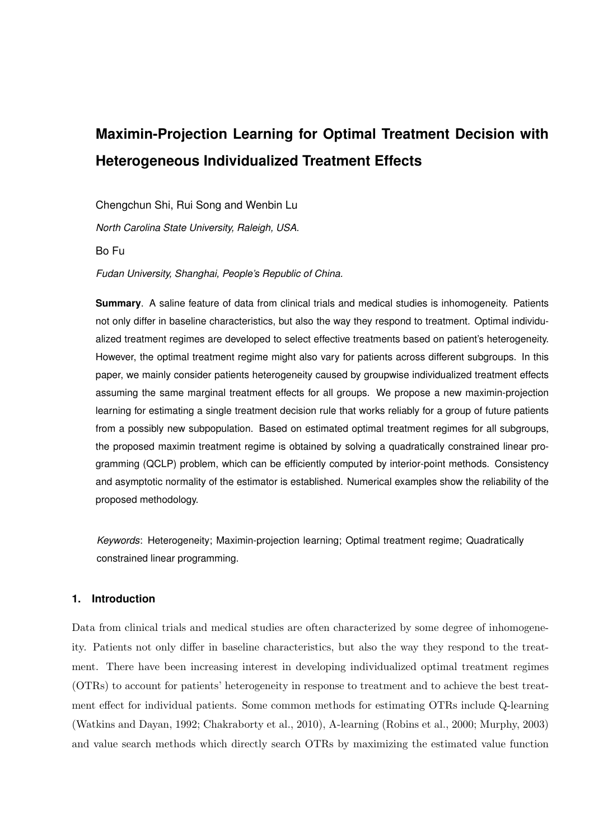# **Maximin-Projection Learning for Optimal Treatment Decision with Heterogeneous Individualized Treatment Effects**

Chengchun Shi, Rui Song and Wenbin Lu

*North Carolina State University, Raleigh, USA.*

Bo Fu

*Fudan University, Shanghai, People's Republic of China.*

**Summary**. A saline feature of data from clinical trials and medical studies is inhomogeneity. Patients not only differ in baseline characteristics, but also the way they respond to treatment. Optimal individualized treatment regimes are developed to select effective treatments based on patient's heterogeneity. However, the optimal treatment regime might also vary for patients across different subgroups. In this paper, we mainly consider patients heterogeneity caused by groupwise individualized treatment effects assuming the same marginal treatment effects for all groups. We propose a new maximin-projection learning for estimating a single treatment decision rule that works reliably for a group of future patients from a possibly new subpopulation. Based on estimated optimal treatment regimes for all subgroups, the proposed maximin treatment regime is obtained by solving a quadratically constrained linear programming (QCLP) problem, which can be efficiently computed by interior-point methods. Consistency and asymptotic normality of the estimator is established. Numerical examples show the reliability of the proposed methodology.

*Keywords*: Heterogeneity; Maximin-projection learning; Optimal treatment regime; Quadratically constrained linear programming.

# **1. Introduction**

Data from clinical trials and medical studies are often characterized by some degree of inhomogeneity. Patients not only differ in baseline characteristics, but also the way they respond to the treatment. There have been increasing interest in developing individualized optimal treatment regimes (OTRs) to account for patients' heterogeneity in response to treatment and to achieve the best treatment effect for individual patients. Some common methods for estimating OTRs include Q-learning (Watkins and Dayan, 1992; Chakraborty et al., 2010), A-learning (Robins et al., 2000; Murphy, 2003) and value search methods which directly search OTRs by maximizing the estimated value function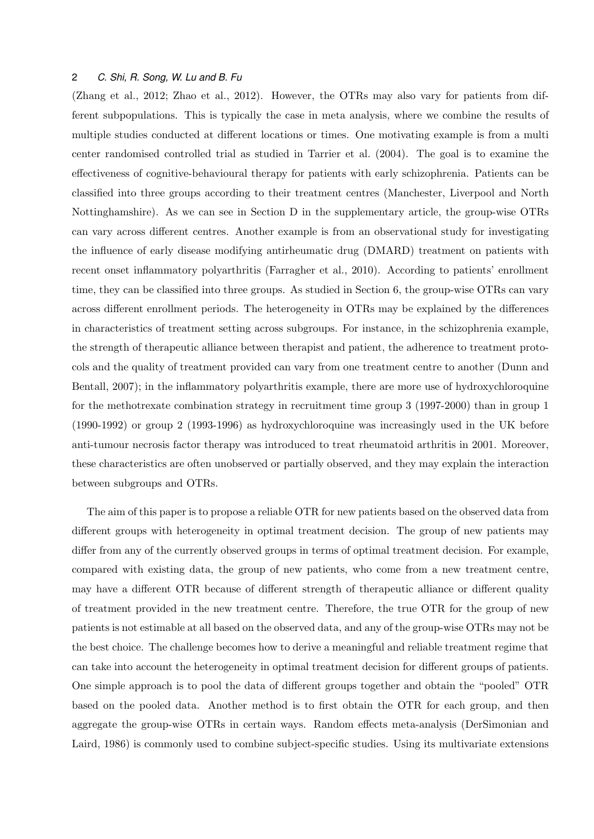(Zhang et al., 2012; Zhao et al., 2012). However, the OTRs may also vary for patients from different subpopulations. This is typically the case in meta analysis, where we combine the results of multiple studies conducted at different locations or times. One motivating example is from a multi center randomised controlled trial as studied in Tarrier et al. (2004). The goal is to examine the effectiveness of cognitive-behavioural therapy for patients with early schizophrenia. Patients can be classified into three groups according to their treatment centres (Manchester, Liverpool and North Nottinghamshire). As we can see in Section D in the supplementary article, the group-wise OTRs can vary across different centres. Another example is from an observational study for investigating the influence of early disease modifying antirheumatic drug (DMARD) treatment on patients with recent onset inflammatory polyarthritis (Farragher et al., 2010). According to patients' enrollment time, they can be classified into three groups. As studied in Section 6, the group-wise OTRs can vary across different enrollment periods. The heterogeneity in OTRs may be explained by the differences in characteristics of treatment setting across subgroups. For instance, in the schizophrenia example, the strength of therapeutic alliance between therapist and patient, the adherence to treatment protocols and the quality of treatment provided can vary from one treatment centre to another (Dunn and Bentall, 2007); in the inflammatory polyarthritis example, there are more use of hydroxychloroquine for the methotrexate combination strategy in recruitment time group 3 (1997-2000) than in group 1 (1990-1992) or group 2 (1993-1996) as hydroxychloroquine was increasingly used in the UK before anti-tumour necrosis factor therapy was introduced to treat rheumatoid arthritis in 2001. Moreover, these characteristics are often unobserved or partially observed, and they may explain the interaction between subgroups and OTRs.

The aim of this paper is to propose a reliable OTR for new patients based on the observed data from different groups with heterogeneity in optimal treatment decision. The group of new patients may differ from any of the currently observed groups in terms of optimal treatment decision. For example, compared with existing data, the group of new patients, who come from a new treatment centre, may have a different OTR because of different strength of therapeutic alliance or different quality of treatment provided in the new treatment centre. Therefore, the true OTR for the group of new patients is not estimable at all based on the observed data, and any of the group-wise OTRs may not be the best choice. The challenge becomes how to derive a meaningful and reliable treatment regime that can take into account the heterogeneity in optimal treatment decision for different groups of patients. One simple approach is to pool the data of different groups together and obtain the "pooled" OTR based on the pooled data. Another method is to first obtain the OTR for each group, and then aggregate the group-wise OTRs in certain ways. Random effects meta-analysis (DerSimonian and Laird, 1986) is commonly used to combine subject-specific studies. Using its multivariate extensions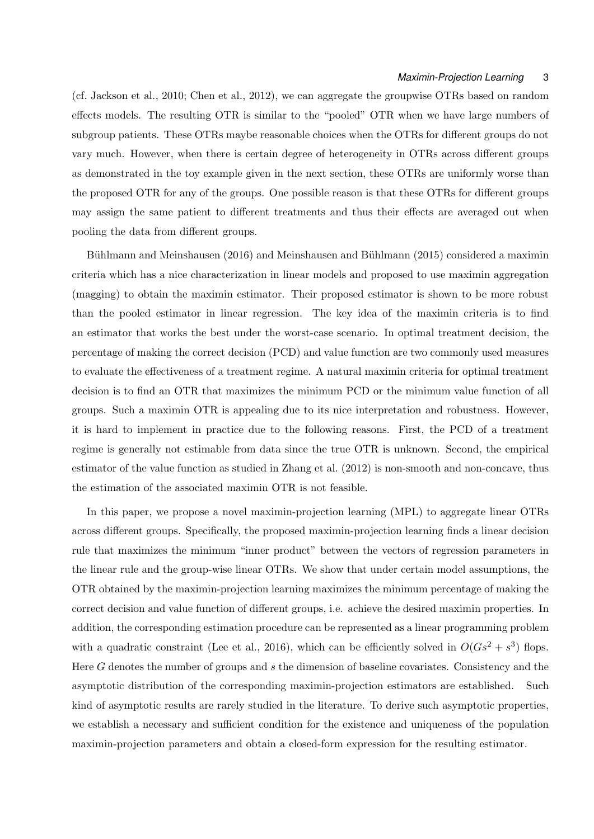(cf. Jackson et al., 2010; Chen et al., 2012), we can aggregate the groupwise OTRs based on random effects models. The resulting OTR is similar to the "pooled" OTR when we have large numbers of subgroup patients. These OTRs maybe reasonable choices when the OTRs for different groups do not vary much. However, when there is certain degree of heterogeneity in OTRs across different groups as demonstrated in the toy example given in the next section, these OTRs are uniformly worse than the proposed OTR for any of the groups. One possible reason is that these OTRs for different groups may assign the same patient to different treatments and thus their effects are averaged out when pooling the data from different groups.

Bühlmann and Meinshausen (2016) and Meinshausen and Bühlmann (2015) considered a maximin criteria which has a nice characterization in linear models and proposed to use maximin aggregation (magging) to obtain the maximin estimator. Their proposed estimator is shown to be more robust than the pooled estimator in linear regression. The key idea of the maximin criteria is to find an estimator that works the best under the worst-case scenario. In optimal treatment decision, the percentage of making the correct decision (PCD) and value function are two commonly used measures to evaluate the effectiveness of a treatment regime. A natural maximin criteria for optimal treatment decision is to find an OTR that maximizes the minimum PCD or the minimum value function of all groups. Such a maximin OTR is appealing due to its nice interpretation and robustness. However, it is hard to implement in practice due to the following reasons. First, the PCD of a treatment regime is generally not estimable from data since the true OTR is unknown. Second, the empirical estimator of the value function as studied in Zhang et al. (2012) is non-smooth and non-concave, thus the estimation of the associated maximin OTR is not feasible.

In this paper, we propose a novel maximin-projection learning (MPL) to aggregate linear OTRs across different groups. Specifically, the proposed maximin-projection learning finds a linear decision rule that maximizes the minimum "inner product" between the vectors of regression parameters in the linear rule and the group-wise linear OTRs. We show that under certain model assumptions, the OTR obtained by the maximin-projection learning maximizes the minimum percentage of making the correct decision and value function of different groups, i.e. achieve the desired maximin properties. In addition, the corresponding estimation procedure can be represented as a linear programming problem with a quadratic constraint (Lee et al., 2016), which can be efficiently solved in  $O(Gs^2 + s^3)$  flops. Here *G* denotes the number of groups and *s* the dimension of baseline covariates. Consistency and the asymptotic distribution of the corresponding maximin-projection estimators are established. Such kind of asymptotic results are rarely studied in the literature. To derive such asymptotic properties, we establish a necessary and sufficient condition for the existence and uniqueness of the population maximin-projection parameters and obtain a closed-form expression for the resulting estimator.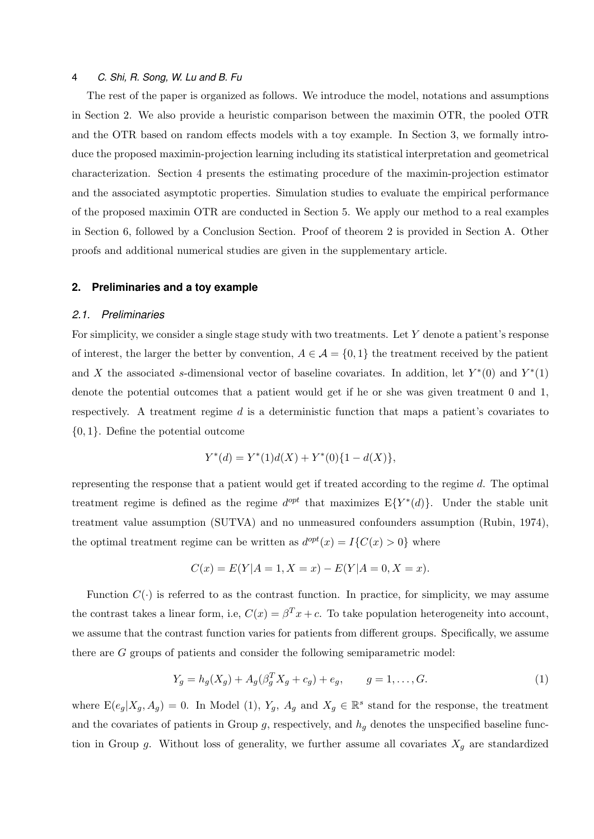The rest of the paper is organized as follows. We introduce the model, notations and assumptions in Section 2. We also provide a heuristic comparison between the maximin OTR, the pooled OTR and the OTR based on random effects models with a toy example. In Section 3, we formally introduce the proposed maximin-projection learning including its statistical interpretation and geometrical characterization. Section 4 presents the estimating procedure of the maximin-projection estimator and the associated asymptotic properties. Simulation studies to evaluate the empirical performance of the proposed maximin OTR are conducted in Section 5. We apply our method to a real examples in Section 6, followed by a Conclusion Section. Proof of theorem 2 is provided in Section A. Other proofs and additional numerical studies are given in the supplementary article.

## **2. Preliminaries and a toy example**

## *2.1. Preliminaries*

For simplicity, we consider a single stage study with two treatments. Let *Y* denote a patient's response of interest, the larger the better by convention,  $A \in \mathcal{A} = \{0, 1\}$  the treatment received by the patient and *X* the associated *s*-dimensional vector of baseline covariates. In addition, let  $Y^*(0)$  and  $Y^*(1)$ denote the potential outcomes that a patient would get if he or she was given treatment 0 and 1, respectively. A treatment regime *d* is a deterministic function that maps a patient's covariates to *{*0*,* 1*}*. Define the potential outcome

$$
Y^*(d) = Y^*(1)d(X) + Y^*(0)\{1 - d(X)\},
$$

representing the response that a patient would get if treated according to the regime *d*. The optimal treatment regime is defined as the regime  $d^{opt}$  that maximizes  $E{Y^*(d)}$ . Under the stable unit treatment value assumption (SUTVA) and no unmeasured confounders assumption (Rubin, 1974), the optimal treatment regime can be written as  $d^{opt}(x) = I\{C(x) > 0\}$  where

$$
C(x) = E(Y|A = 1, X = x) - E(Y|A = 0, X = x).
$$

Function  $C(\cdot)$  is referred to as the contrast function. In practice, for simplicity, we may assume the contrast takes a linear form, i.e,  $C(x) = \beta^{T} x + c$ . To take population heterogeneity into account, we assume that the contrast function varies for patients from different groups. Specifically, we assume there are *G* groups of patients and consider the following semiparametric model:

$$
Y_g = h_g(X_g) + A_g(\beta_g^T X_g + c_g) + e_g, \qquad g = 1, ..., G.
$$
 (1)

where  $E(e_g|X_g, A_g) = 0$ . In Model (1),  $Y_g$ ,  $A_g$  and  $X_g \in \mathbb{R}^s$  stand for the response, the treatment and the covariates of patients in Group  $g$ , respectively, and  $h_q$  denotes the unspecified baseline function in Group  $g$ . Without loss of generality, we further assume all covariates  $X_g$  are standardized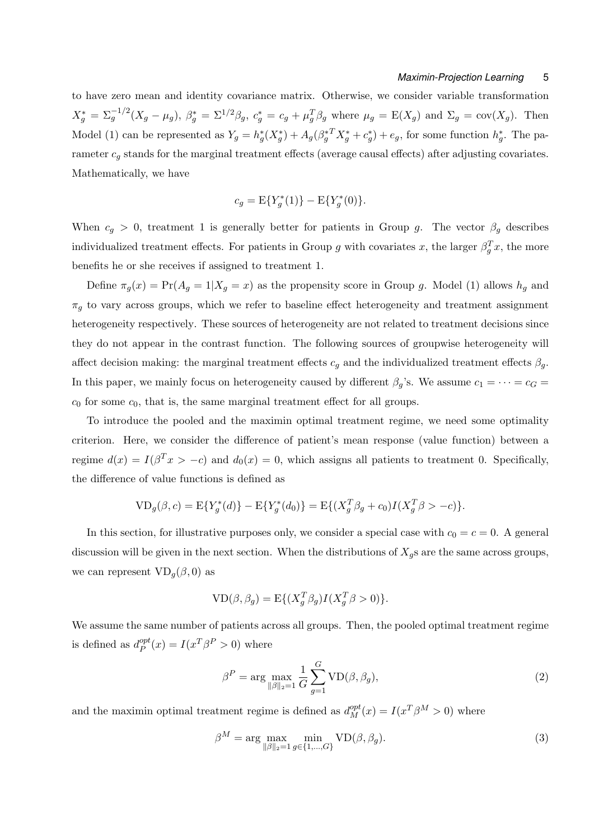to have zero mean and identity covariance matrix. Otherwise, we consider variable transformation  $X_g^* = \Sigma_g^{-1/2} (X_g - \mu_g)$ ,  $\beta_g^* = \Sigma^{1/2} \beta_g$ ,  $c_g^* = c_g + \mu_g^T \beta_g$  where  $\mu_g = E(X_g)$  and  $\Sigma_g = \text{cov}(X_g)$ . Then Model (1) can be represented as  $Y_g = h_g^*(X_g^*) + A_g(\beta_g^{*T}X_g^* + c_g^*) + e_g$ , for some function  $h_g^*$ . The parameter  $c_g$  stands for the marginal treatment effects (average causal effects) after adjusting covariates. Mathematically, we have

$$
c_g = \mathbf{E}\{Y_g^*(1)\} - \mathbf{E}\{Y_g^*(0)\}.
$$

When  $c_g > 0$ , treatment 1 is generally better for patients in Group *g*. The vector  $\beta_g$  describes individualized treatment effects. For patients in Group *g* with covariates *x*, the larger  $\beta_g^T x$ , the more benefits he or she receives if assigned to treatment 1.

Define  $\pi_g(x) = \Pr(A_g = 1 | X_g = x)$  as the propensity score in Group *g*. Model (1) allows  $h_g$  and  $\pi_g$  to vary across groups, which we refer to baseline effect heterogeneity and treatment assignment heterogeneity respectively. These sources of heterogeneity are not related to treatment decisions since they do not appear in the contrast function. The following sources of groupwise heterogeneity will affect decision making: the marginal treatment effects  $c_g$  and the individualized treatment effects  $\beta_g$ . In this paper, we mainly focus on heterogeneity caused by different  $\beta_g$ 's. We assume  $c_1 = \cdots = c_G =$  $c_0$  for some  $c_0$ , that is, the same marginal treatment effect for all groups.

To introduce the pooled and the maximin optimal treatment regime, we need some optimality criterion. Here, we consider the difference of patient's mean response (value function) between a regime  $d(x) = I(\beta^T x > -c)$  and  $d_0(x) = 0$ , which assigns all patients to treatment 0. Specifically, the difference of value functions is defined as

$$
VD_{g}(\beta, c) = E{Y_{g}^{*}(d)} - E{Y_{g}^{*}(d_{0})} = E{(X_{g}^{T}\beta_{g} + c_{0})I(X_{g}^{T}\beta > -c)}.
$$

In this section, for illustrative purposes only, we consider a special case with  $c_0 = c = 0$ . A general discussion will be given in the next section. When the distributions of  $X_g$ s are the same across groups, we can represent  $VD_q(\beta, 0)$  as

$$
VD(\beta, \beta_g) = E\{(X_g^T \beta_g)I(X_g^T \beta > 0)\}.
$$

We assume the same number of patients across all groups. Then, the pooled optimal treatment regime is defined as  $d_P^{opt}$  $P_P^{opt}(x) = I(x^T)P > 0$  where

$$
\beta^P = \arg \max_{\|\beta\|_2 = 1} \frac{1}{G} \sum_{g=1}^G \text{VD}(\beta, \beta_g),\tag{2}
$$

and the maximin optimal treatment regime is defined as  $d_M^{opt}(x) = I(x^T \beta^M > 0)$  where

$$
\beta^M = \arg\max_{\|\beta\|_2 = 1} \min_{g \in \{1, \dots, G\}} \text{VD}(\beta, \beta_g). \tag{3}
$$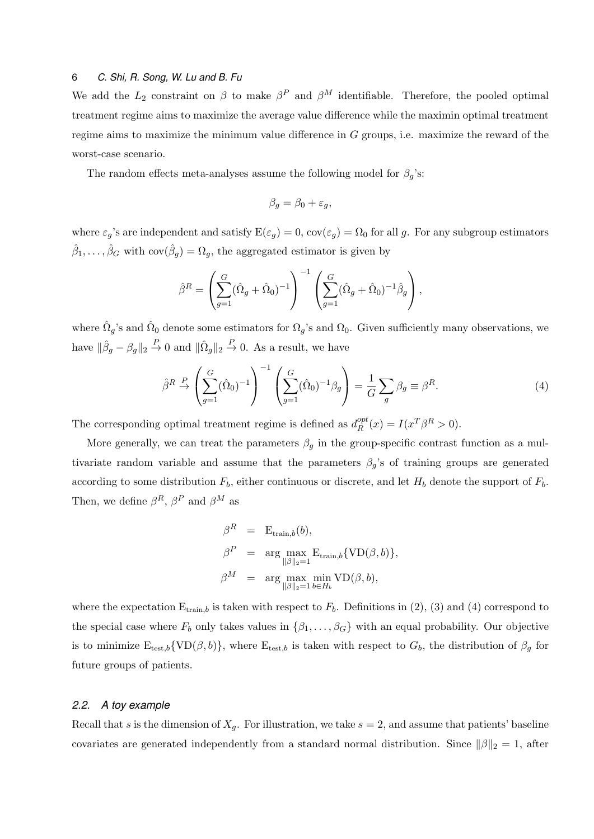We add the  $L_2$  constraint on  $\beta$  to make  $\beta^P$  and  $\beta^M$  identifiable. Therefore, the pooled optimal treatment regime aims to maximize the average value difference while the maximin optimal treatment regime aims to maximize the minimum value difference in *G* groups, i.e. maximize the reward of the worst-case scenario.

The random effects meta-analyses assume the following model for  $\beta_g$ 's:

$$
\beta_g = \beta_0 + \varepsilon_g,
$$

where  $\varepsilon_g$ 's are independent and satisfy  $E(\varepsilon_g) = 0$ ,  $cov(\varepsilon_g) = \Omega_0$  for all *g*. For any subgroup estimators  $\hat{\beta}_1, \ldots, \hat{\beta}_G$  with  $cov(\hat{\beta}_g) = \Omega_g$ , the aggregated estimator is given by

$$
\hat{\beta}^{R} = \left(\sum_{g=1}^{G} (\hat{\Omega}_{g} + \hat{\Omega}_{0})^{-1}\right)^{-1} \left(\sum_{g=1}^{G} (\hat{\Omega}_{g} + \hat{\Omega}_{0})^{-1} \hat{\beta}_{g}\right),
$$

where  $\hat{\Omega}_g$ 's and  $\hat{\Omega}_0$  denote some estimators for  $\Omega_g$ 's and  $\Omega_0$ . Given sufficiently many observations, we have  $\|\hat{\beta}_g - \beta_g\|_2 \stackrel{P}{\to} 0$  and  $\|\hat{\Omega}_g\|_2 \stackrel{P}{\to} 0$ . As a result, we have

$$
\hat{\beta}^R \stackrel{P}{\rightarrow} \left(\sum_{g=1}^G (\hat{\Omega}_0)^{-1}\right)^{-1} \left(\sum_{g=1}^G (\hat{\Omega}_0)^{-1} \beta_g\right) = \frac{1}{G} \sum_g \beta_g \equiv \beta^R. \tag{4}
$$

The corresponding optimal treatment regime is defined as  $d_R^{opt}$  $L_R^{opt}(x) = I(x^T) \beta^R > 0.$ 

More generally, we can treat the parameters  $\beta_g$  in the group-specific contrast function as a multivariate random variable and assume that the parameters  $\beta_q$ 's of training groups are generated according to some distribution *Fb*, either continuous or discrete, and let *H<sup>b</sup>* denote the support of *Fb*. Then, we define  $\beta^R$ ,  $\beta^P$  and  $\beta^M$  as

$$
\beta^R = \text{E}_{\text{train},b}(b),
$$
  
\n
$$
\beta^P = \arg \max_{\|\beta\|_2 = 1} \text{E}_{\text{train},b} \{\text{VD}(\beta, b)\},
$$
  
\n
$$
\beta^M = \arg \max_{\|\beta\|_2 = 1} \min_{b \in H_b} \text{VD}(\beta, b),
$$

where the expectation  $E_{\text{train},b}$  is taken with respect to  $F_b$ . Definitions in (2), (3) and (4) correspond to the special case where  $F_b$  only takes values in  $\{\beta_1, \ldots, \beta_G\}$  with an equal probability. Our objective is to minimize  $E_{test,b} \{ VD(\beta, b) \}$ , where  $E_{test,b}$  is taken with respect to  $G_b$ , the distribution of  $\beta_g$  for future groups of patients.

## *2.2. A toy example*

Recall that *s* is the dimension of  $X_q$ . For illustration, we take  $s = 2$ , and assume that patients' baseline covariates are generated independently from a standard normal distribution. Since  $||\beta||_2 = 1$ , after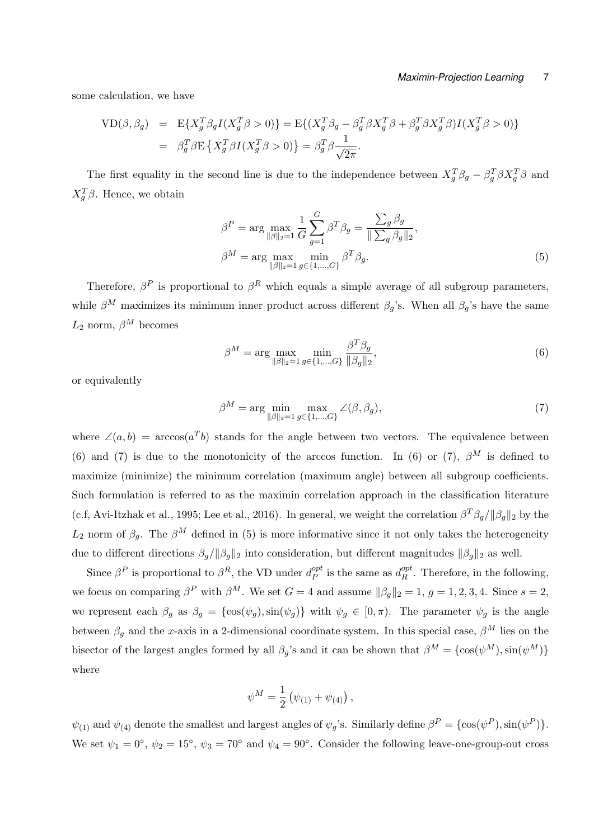some calculation, we have

$$
VD(\beta, \beta_g) = E{X_g^T \beta_g I(X_g^T \beta > 0)} = E{ (X_g^T \beta_g - \beta_g^T \beta X_g^T \beta + \beta_g^T \beta X_g^T \beta) I(X_g^T \beta > 0)}
$$
  
=  $\beta_g^T \beta E \{ X_g^T \beta I(X_g^T \beta > 0) \} = \beta_g^T \beta \frac{1}{\sqrt{2\pi}}$ .

The first equality in the second line is due to the independence between  $X_g^T \beta_g - \beta_g^T \beta X_g^T \beta$  and *X*<sup>*T*</sup><sub>*g*</sub><sup> $β$ </sup>. Hence, we obtain

$$
\beta^{P} = \arg \max_{\|\beta\|_2 = 1} \frac{1}{G} \sum_{g=1}^{G} \beta^{T} \beta_g = \frac{\sum_{g} \beta_g}{\|\sum_{g} \beta_g\|_2},
$$

$$
\beta^{M} = \arg \max_{\|\beta\|_2 = 1} \min_{g \in \{1, \dots, G\}} \beta^{T} \beta_g.
$$
(5)

Therefore,  $\beta^P$  is proportional to  $\beta^R$  which equals a simple average of all subgroup parameters, while  $\beta^M$  maximizes its minimum inner product across different  $\beta_g$ 's. When all  $\beta_g$ 's have the same  $L_2$  norm,  $\beta^M$  becomes

$$
\beta^{M} = \arg \max_{\|\beta\|_{2} = 1} \min_{g \in \{1, ..., G\}} \frac{\beta^{T} \beta_{g}}{\|\beta_{g}\|_{2}},
$$
\n(6)

or equivalently

$$
\beta^M = \arg\min_{\|\beta\|_2 = 1} \max_{g \in \{1, \dots, G\}} \angle(\beta, \beta_g),\tag{7}
$$

where  $\angle(a,b) = \arccos(a^Tb)$  stands for the angle between two vectors. The equivalence between (6) and (7) is due to the monotonicity of the arccos function. In (6) or (7),  $\beta^{M}$  is defined to maximize (minimize) the minimum correlation (maximum angle) between all subgroup coefficients. Such formulation is referred to as the maximin correlation approach in the classification literature (c.f, Avi-Itzhak et al., 1995; Lee et al., 2016). In general, we weight the correlation  $\beta^T \beta_g / ||\beta_g||_2$  by the *L*<sub>2</sub> norm of  $\beta_g$ . The  $\beta^M$  defined in (5) is more informative since it not only takes the heterogeneity due to different directions  $\beta_g / ||\beta_g||_2$  into consideration, but different magnitudes  $||\beta_g||_2$  as well.

Since  $\beta^P$  is proportional to  $\beta^R$ , the VD under  $d_P^{opt}$  $P_P^{opt}$  is the same as  $d_R^{opt}$  $R_R^{opt}$ . Therefore, in the following, we focus on comparing  $\beta^P$  with  $\beta^M$ . We set  $G = 4$  and assume  $\|\beta_g\|_2 = 1$ ,  $g = 1, 2, 3, 4$ . Since  $s = 2$ , we represent each  $\beta_g$  as  $\beta_g = {\cos(\psi_g), \sin(\psi_g)}$  with  $\psi_g \in [0, \pi)$ . The parameter  $\psi_g$  is the angle between  $\beta_g$  and the *x*-axis in a 2-dimensional coordinate system. In this special case,  $\beta^M$  lies on the bisector of the largest angles formed by all *β*<sub>*g*</sub>'s and it can be shown that  $\beta^M = {\cos(\psi^M), \sin(\psi^M)}$ where

$$
\psi^M = \frac{1}{2} (\psi_{(1)} + \psi_{(4)}),
$$

*ψ*<sub>(1)</sub> and  $ψ$ <sub>(4)</sub> denote the smallest and largest angles of  $ψ$ <sub>*g*</sub>'s. Similarly define  $β$ <sup>*P*</sup> = {cos( $ψ$ <sup>*P*</sup>), sin( $ψ$ <sup>*P*</sup>)}. We set  $\psi_1 = 0^\circ$ ,  $\psi_2 = 15^\circ$ ,  $\psi_3 = 70^\circ$  and  $\psi_4 = 90^\circ$ . Consider the following leave-one-group-out cross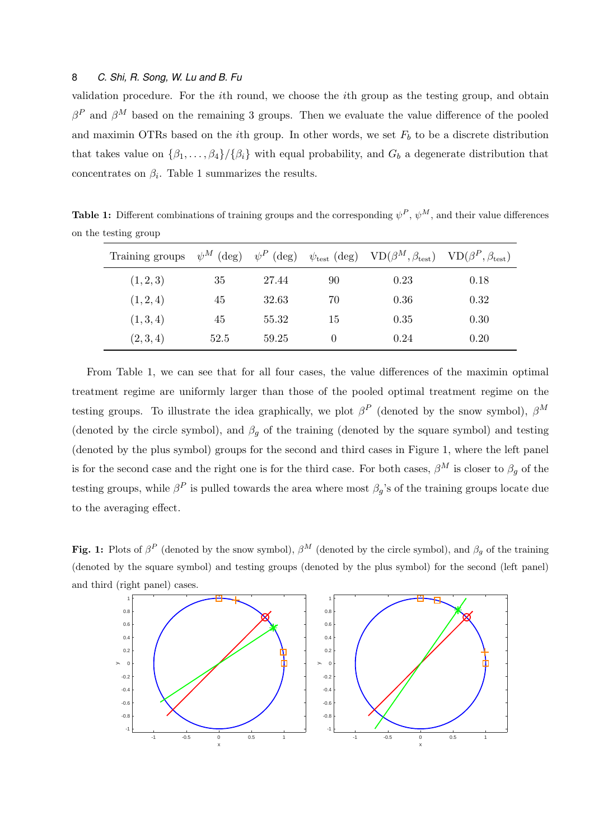validation procedure. For the *i*th round, we choose the *i*th group as the testing group, and obtain  $\beta^P$  and  $\beta^M$  based on the remaining 3 groups. Then we evaluate the value difference of the pooled and maximin OTRs based on the *i*th group. In other words, we set  $F<sub>b</sub>$  to be a discrete distribution that takes value on  $\{\beta_1, \ldots, \beta_4\}$ */* $\{\beta_i\}$  with equal probability, and  $G_b$  a degenerate distribution that concentrates on  $\beta_i$ . Table 1 summarizes the results.

**Table 1:** Different combinations of training groups and the corresponding  $\psi^P$ ,  $\psi^M$ , and their value differences on the testing group

| Training groups | , $\psi^{M}$ (<br>$(\text{deg})$ | $\psi^P$<br>$(\text{deg})$ |    | $\psi_{\text{test}}(\text{deg}) \quad \text{VD}(\beta^M, \beta_{\text{test}}) \quad \text{VD}(\beta^P, \beta_{\text{test}})$ |      |
|-----------------|----------------------------------|----------------------------|----|------------------------------------------------------------------------------------------------------------------------------|------|
| (1, 2, 3)       | 35                               | 27.44                      | 90 | 0.23                                                                                                                         | 0.18 |
| (1, 2, 4)       | 45                               | 32.63                      | 70 | 0.36                                                                                                                         | 0.32 |
| (1,3,4)         | 45                               | 55.32                      | 15 | 0.35                                                                                                                         | 0.30 |
| (2,3,4)         | 52.5                             | 59.25                      |    | 0.24                                                                                                                         | 0.20 |

From Table 1, we can see that for all four cases, the value differences of the maximin optimal treatment regime are uniformly larger than those of the pooled optimal treatment regime on the testing groups. To illustrate the idea graphically, we plot  $\beta^P$  (denoted by the snow symbol),  $\beta^M$ (denoted by the circle symbol), and  $\beta_g$  of the training (denoted by the square symbol) and testing (denoted by the plus symbol) groups for the second and third cases in Figure 1, where the left panel is for the second case and the right one is for the third case. For both cases,  $\beta^M$  is closer to  $\beta_g$  of the testing groups, while  $\beta^P$  is pulled towards the area where most  $\beta_g$ 's of the training groups locate due to the averaging effect.

**Fig. 1:** Plots of  $\beta^P$  (denoted by the snow symbol),  $\beta^M$  (denoted by the circle symbol), and  $\beta_g$  of the training (denoted by the square symbol) and testing groups (denoted by the plus symbol) for the second (left panel) and third (right panel) cases.

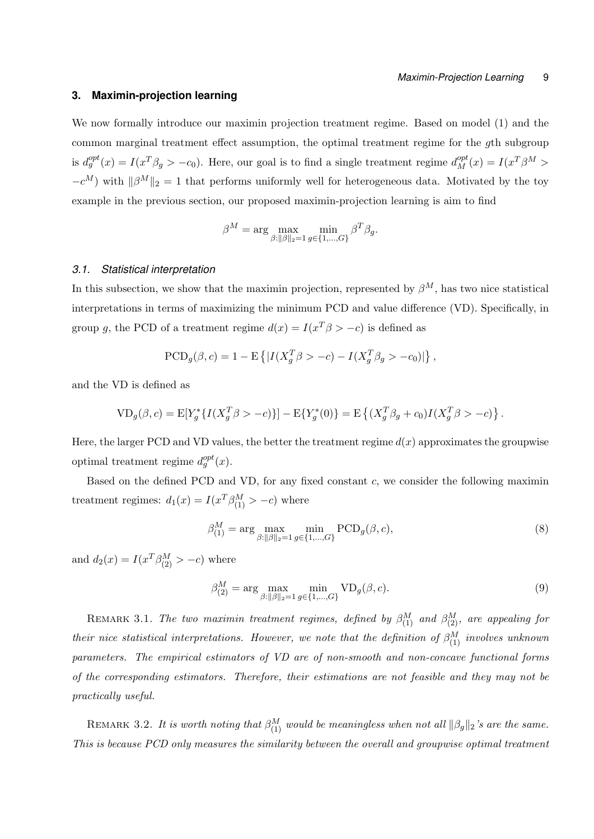# **3. Maximin-projection learning**

We now formally introduce our maximin projection treatment regime. Based on model (1) and the common marginal treatment effect assumption, the optimal treatment regime for the *g*th subgroup is  $d_g^{opt}(x) = I(x^T \beta_g > -c_0)$ . Here, our goal is to find a single treatment regime  $d_M^{opt}(x) = I(x^T \beta^M >$  $-c^M$ ) with  $\|\beta^M\|_2 = 1$  that performs uniformly well for heterogeneous data. Motivated by the toy example in the previous section, our proposed maximin-projection learning is aim to find

$$
\beta^M = \arg\max_{\beta:\|\beta\|_2=1} \min_{g\in\{1,\dots,G\}} \beta^T \beta_g.
$$

#### *3.1. Statistical interpretation*

In this subsection, we show that the maximin projection, represented by  $\beta^M$ , has two nice statistical interpretations in terms of maximizing the minimum PCD and value difference (VD). Specifically, in group *g*, the PCD of a treatment regime  $d(x) = I(x^T \beta > -c)$  is defined as

$$
\text{PCD}_g(\beta, c) = 1 - \mathbb{E}\left\{ |I(X_g^T \beta > -c) - I(X_g^T \beta_g > -c_0)| \right\},\,
$$

and the VD is defined as

$$
VD_g(\beta, c) = E[Y_g^* \{ I(X_g^T \beta > -c) \}] - E\{ Y_g^*(0) \} = E\left\{ (X_g^T \beta_g + c_0) I(X_g^T \beta > -c) \right\}.
$$

Here, the larger PCD and VD values, the better the treatment regime  $d(x)$  approximates the groupwise optimal treatment regime  $d_g^{opt}(x)$ .

Based on the defined PCD and VD, for any fixed constant *c*, we consider the following maximin treatment regimes:  $d_1(x) = I(x^T) \beta_{(1)}^M > -c$ ) where

$$
\beta_{(1)}^M = \arg \max_{\beta : \|\beta\|_2 = 1} \min_{g \in \{1, \dots, G\}} \text{PCD}_g(\beta, c), \tag{8}
$$

and  $d_2(x) = I(x^T) \frac{\beta_0 M}{2} > -c$  where

$$
\beta_{(2)}^M = \arg \max_{\beta : ||\beta||_2 = 1} \min_{g \in \{1, ..., G\}} \text{VD}_g(\beta, c). \tag{9}
$$

REMARK 3.1. *The two maximin treatment regimes, defined by*  $\beta_{(1)}^M$  *and*  $\beta_{(2)}^M$ *, are appealing for their nice statistical interpretations. However, we note that the definition of*  $\beta_{(1)}^M$  *involves unknown parameters. The empirical estimators of VD are of non-smooth and non-concave functional forms of the corresponding estimators. Therefore, their estimations are not feasible and they may not be practically useful.*

REMARK 3.2. *It is worth noting that*  $\beta_{(1)}^M$  *would be meaningless when not all*  $\|\beta_g\|_2$ *'s are the same. This is because PCD only measures the similarity between the overall and groupwise optimal treatment*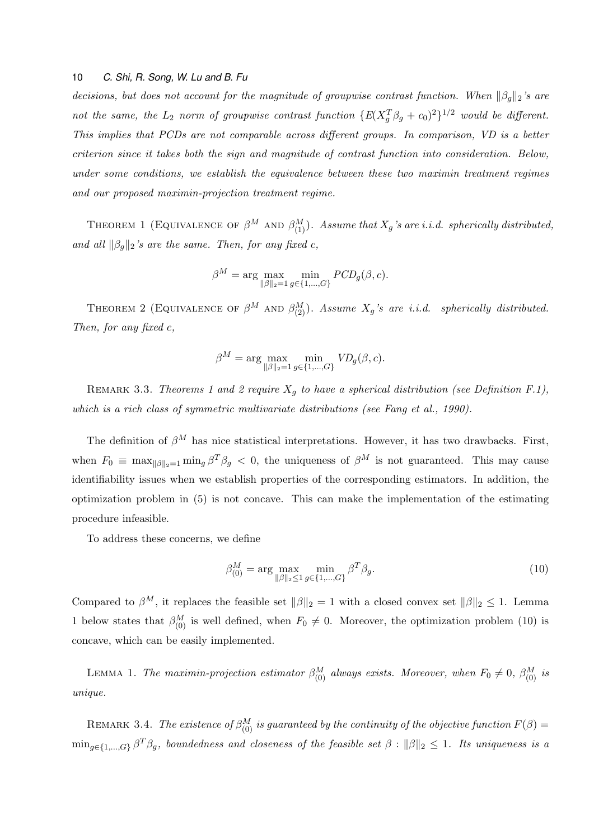*decisions, but does not account for the magnitude of groupwise contrast function. When ∥βg∥*2*'s are not the same, the*  $L_2$  *norm of groupwise contrast function*  $\{E(X_g^T \beta_g + c_0)^2\}^{1/2}$  *would be different. This implies that PCDs are not comparable across different groups. In comparison, VD is a better criterion since it takes both the sign and magnitude of contrast function into consideration. Below, under some conditions, we establish the equivalence between these two maximin treatment regimes and our proposed maximin-projection treatment regime.*

THEOREM 1 (EQUIVALENCE OF  $\beta^M$  AND  $\beta^M_{(1)}$ ). Assume that  $X_g$ 's are i.i.d. spherically distributed, *and all*  $\|\beta_q\|_2$ 's are the same. Then, for any fixed c,

$$
\beta^M = \arg \max_{\|\beta\|_2 = 1} \min_{g \in \{1, \dots, G\}} PCD_g(\beta, c).
$$

THEOREM 2 (EQUIVALENCE OF  $\beta^M$  AND  $\beta^M_{(2)}$ ). *Assume*  $X_g$ 's are *i.i.d.* spherically distributed. *Then, for any fixed c,*

$$
\beta^M = \arg\max_{\|\beta\|_2=1} \min_{g \in \{1,\dots,G\}} V D_g(\beta, c).
$$

REMARK 3.3. *Theorems 1 and 2 require*  $X_g$  to have a spherical distribution (see Definition F.1), *which is a rich class of symmetric multivariate distributions (see Fang et al., 1990).*

The definition of  $\beta^M$  has nice statistical interpretations. However, it has two drawbacks. First, when  $F_0 \equiv \max_{\|\beta\|_2=1} \min_g \beta^T \beta_g < 0$ , the uniqueness of  $\beta^M$  is not guaranteed. This may cause identifiability issues when we establish properties of the corresponding estimators. In addition, the optimization problem in (5) is not concave. This can make the implementation of the estimating procedure infeasible.

To address these concerns, we define

$$
\beta_{(0)}^M = \arg \max_{\|\beta\|_2 \le 1} \min_{g \in \{1, ..., G\}} \beta^T \beta_g.
$$
\n(10)

Compared to  $\beta^M$ , it replaces the feasible set  $\|\beta\|_2 = 1$  with a closed convex set  $\|\beta\|_2 \leq 1$ . Lemma 1 below states that  $\beta_{(0)}^M$  is well defined, when  $F_0 \neq 0$ . Moreover, the optimization problem (10) is concave, which can be easily implemented.

LEMMA 1. *The maximin-projection estimator*  $\beta_{(0)}^M$  *always exists. Moreover, when*  $F_0 \neq 0$ ,  $\beta_{(0)}^M$  *is unique.*

REMARK 3.4. *The existence of*  $\beta_{(0)}^M$  *is guaranteed by the continuity of the objective function*  $F(\beta)$  =  $\min_{g \in \{1,\dots,G\}} \beta^T \beta_g$ , boundedness and closeness of the feasible set  $\beta : ||\beta||_2 \leq 1$ . Its uniqueness is a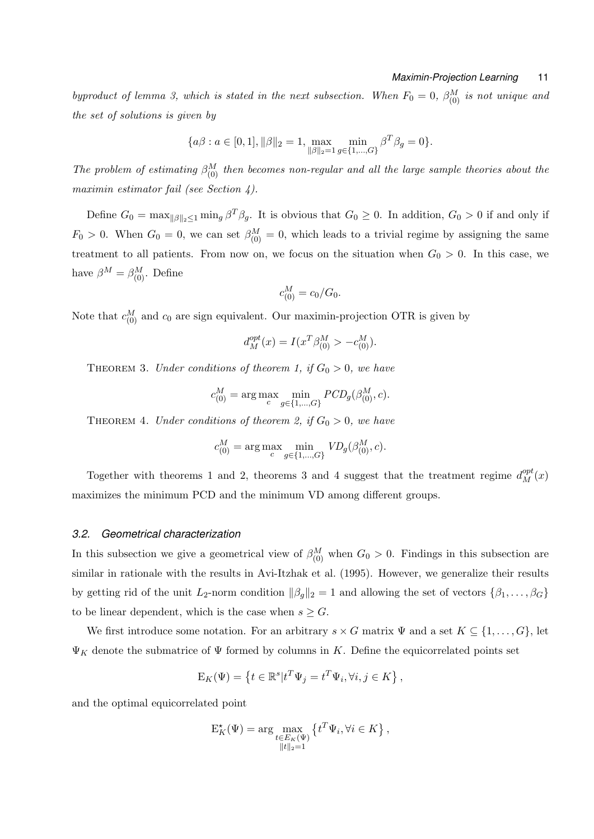*byproduct of lemma 3, which is stated in the next subsection. When*  $F_0 = 0$ ,  $\beta_{(0)}^M$  *is not unique and the set of solutions is given by*

$$
\{a\beta : a \in [0,1], \|\beta\|_2 = 1, \max_{\|\beta\|_2 = 1} \min_{g \in \{1,\dots,G\}} \beta^T \beta_g = 0 \}.
$$

*The problem of estimating*  $\beta_{(0)}^M$  *then becomes non-regular and all the large sample theories about the maximin estimator fail (see Section 4).*

Define  $G_0 = \max_{\|\beta\|_2 \leq 1} \min_g \beta^T \beta_g$ . It is obvious that  $G_0 \geq 0$ . In addition,  $G_0 > 0$  if and only if  $F_0 > 0$ . When  $G_0 = 0$ , we can set  $\beta_{(0)}^M = 0$ , which leads to a trivial regime by assigning the same treatment to all patients. From now on, we focus on the situation when  $G_0 > 0$ . In this case, we have  $\beta^{M} = \beta^{M}_{(0)}$ . Define

$$
c_{(0)}^M = c_0 / G_0.
$$

Note that  $c_{(0)}^M$  and  $c_0$  are sign equivalent. Our maximin-projection OTR is given by

$$
d_M^{opt}(x) = I(x^T \beta_{(0)}^M > -c_{(0)}^M).
$$

THEOREM 3. *Under conditions of theorem 1, if*  $G_0 > 0$ *, we have* 

$$
c_{(0)}^M = \arg \max_{c} \min_{g \in \{1, ..., G\}} PCD_g(\beta_{(0)}^M, c).
$$

THEOREM 4. *Under conditions of theorem 2, if*  $G_0 > 0$ *, we have* 

$$
c^M_{(0)}=\arg\max_{c}\min_{g\in\{1,\ldots,G\}}\textit{VD}_g(\beta^M_{(0)},c).
$$

Together with theorems 1 and 2, theorems 3 and 4 suggest that the treatment regime  $d_M^{opt}(x)$ maximizes the minimum PCD and the minimum VD among different groups.

# *3.2. Geometrical characterization*

In this subsection we give a geometrical view of  $\beta_{(0)}^M$  when  $G_0 > 0$ . Findings in this subsection are similar in rationale with the results in Avi-Itzhak et al. (1995). However, we generalize their results by getting rid of the unit *L*<sub>2</sub>-norm condition  $||\beta_g||_2 = 1$  and allowing the set of vectors  $\{\beta_1, \ldots, \beta_G\}$ to be linear dependent, which is the case when  $s \geq G$ .

We first introduce some notation. For an arbitrary  $s \times G$  matrix  $\Psi$  and a set  $K \subseteq \{1, \ldots, G\}$ , let  $\Psi_K$  denote the submatrice of  $\Psi$  formed by columns in *K*. Define the equicorrelated points set

$$
\mathbf{E}_K(\Psi) = \left\{ t \in \mathbb{R}^s | t^T \Psi_j = t^T \Psi_i, \forall i, j \in K \right\},\
$$

and the optimal equicorrelated point

$$
E_K^{\star}(\Psi) = \arg \max_{\substack{t \in E_K(\Psi) \\ \|t\|_2 = 1}} \left\{ t^T \Psi_i, \forall i \in K \right\},\
$$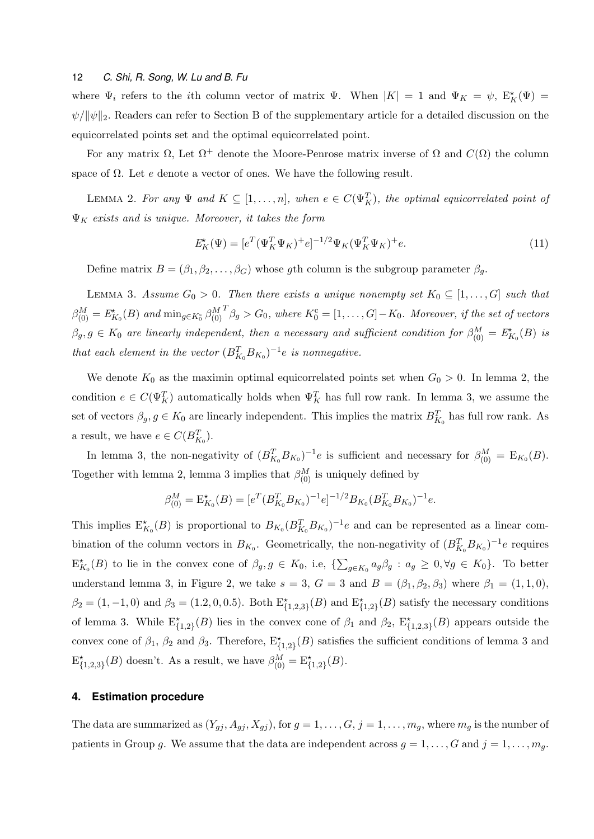where  $\Psi_i$  refers to the *i*th column vector of matrix  $\Psi$ . When  $|K| = 1$  and  $\Psi_K = \psi$ ,  $E_K^{\star}(\Psi) =$ *ψ*/ $\|\psi\|_2$ . Readers can refer to Section B of the supplementary article for a detailed discussion on the equicorrelated points set and the optimal equicorrelated point.

For any matrix  $\Omega$ , Let  $\Omega^+$  denote the Moore-Penrose matrix inverse of  $\Omega$  and  $C(\Omega)$  the column space of Ω. Let *e* denote a vector of ones. We have the following result.

LEMMA 2. For any  $\Psi$  and  $K \subseteq [1, \ldots, n]$ , when  $e \in C(\Psi_K^T)$ , the optimal equicorrelated point of Ψ*<sup>K</sup> exists and is unique. Moreover, it takes the form*

$$
E_K^{\star}(\Psi) = [e^T(\Psi_K^T \Psi_K)^+ e]^{-1/2} \Psi_K(\Psi_K^T \Psi_K)^+ e. \tag{11}
$$

Define matrix  $B = (\beta_1, \beta_2, \dots, \beta_G)$  whose *g*th column is the subgroup parameter  $\beta_g$ .

LEMMA 3. Assume  $G_0 > 0$ . Then there exists a unique nonempty set  $K_0 \subseteq [1, \ldots, G]$  such that  $\beta_{(0)}^M = E_{K_0}^*(B)$  *and*  $\min_{g \in K_0^c} \beta_{(0)}^M$  $T_{\beta g}$  >  $G_0$ , where  $K_0^c = [1, \ldots, G] - K_0$ . Moreover, if the set of vectors  $\beta_g, g \in K_0$  are linearly independent, then a necessary and sufficient condition for  $\beta_{(0)}^M = E_{K_0}^*(B)$  is *that each element in the vector*  $(B_{K_0}^T B_{K_0})^{-1}e$  *is nonnegative.* 

We denote  $K_0$  as the maximin optimal equicorrelated points set when  $G_0 > 0$ . In lemma 2, the condition  $e \in C(\Psi_K^T)$  automatically holds when  $\Psi_K^T$  has full row rank. In lemma 3, we assume the set of vectors  $\beta_g$ ,  $g \in K_0$  are linearly independent. This implies the matrix  $B_{K_0}^T$  has full row rank. As a result, we have  $e \in C(B_{K_0}^T)$ .

In lemma 3, the non-negativity of  $(B_{K_0}^T B_{K_0})^{-1}e$  is sufficient and necessary for  $\beta_{(0)}^M = E_{K_0}(B)$ . Together with lemma 2, lemma 3 implies that  $\beta_{(0)}^M$  is uniquely defined by

$$
\beta_{(0)}^M = \mathcal{E}_{K_0}^{\star}(B) = [e^T (B_{K_0}^T B_{K_0})^{-1} e]^{-1/2} B_{K_0} (B_{K_0}^T B_{K_0})^{-1} e.
$$

This implies  $E_{K_0}^*(B)$  is proportional to  $B_{K_0}(B_{K_0}^T B_{K_0})^{-1}e$  and can be represented as a linear combination of the column vectors in  $B_{K_0}$ . Geometrically, the non-negativity of  $(B_{K_0}^T B_{K_0})^{-1}e$  requires  $E_{K_0}^*(B)$  to lie in the convex cone of  $\beta_g$ ,  $g \in K_0$ , i.e,  $\{\sum_{g\in K_0}a_g\beta_g : a_g \geq 0, \forall g \in K_0\}$ . To better understand lemma 3, in Figure 2, we take  $s = 3$ ,  $G = 3$  and  $B = (\beta_1, \beta_2, \beta_3)$  where  $\beta_1 = (1, 1, 0)$ ,  $\beta_2 = (1, -1, 0)$  and  $\beta_3 = (1.2, 0, 0.5)$ . Both  $E^*_{\{1,2,3\}}(B)$  and  $E^*_{\{1,2\}}(B)$  satisfy the necessary conditions of lemma 3. While  $E_{\{1,2\}}^{\star}(B)$  lies in the convex cone of  $\beta_1$  and  $\beta_2$ ,  $E_{\{1,2,3\}}^{\star}(B)$  appears outside the convex cone of  $\beta_1$ ,  $\beta_2$  and  $\beta_3$ . Therefore,  $E^*_{\{1,2\}}(B)$  satisfies the sufficient conditions of lemma 3 and  $E_{\{1,2,3\}}^{\star}(B)$  doesn't. As a result, we have  $\beta_{(0)}^{M} = E_{\{1,2\}}^{\star}(B)$ .

## **4. Estimation procedure**

The data are summarized as  $(Y_{gj}, A_{gj}, X_{gj})$ , for  $g = 1, \ldots, G, j = 1, \ldots, m_g$ , where  $m_g$  is the number of patients in Group *g*. We assume that the data are independent across  $g = 1, \ldots, G$  and  $j = 1, \ldots, m_g$ .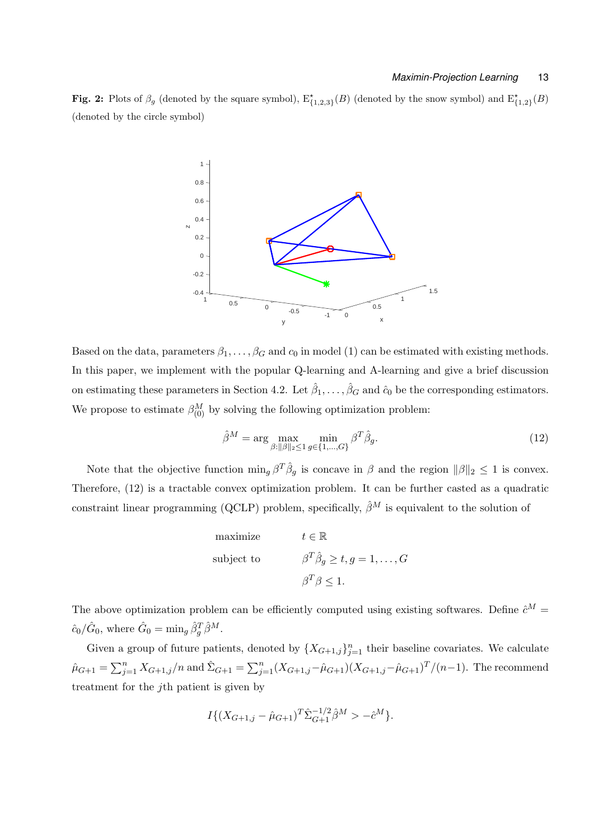**Fig. 2:** Plots of  $\beta_g$  (denoted by the square symbol),  $E^*_{\{1,2,3\}}(B)$  (denoted by the snow symbol) and  $E^*_{\{1,2\}}(B)$ (denoted by the circle symbol)



Based on the data, parameters  $\beta_1, \ldots, \beta_G$  and  $c_0$  in model (1) can be estimated with existing methods. In this paper, we implement with the popular Q-learning and A-learning and give a brief discussion on estimating these parameters in Section 4.2. Let  $\hat{\beta}_1, \ldots, \hat{\beta}_G$  and  $\hat{c}_0$  be the corresponding estimators. We propose to estimate  $\beta_{(0)}^M$  by solving the following optimization problem:

$$
\hat{\beta}^{M} = \arg \max_{\beta : ||\beta||_2 \le 1} \min_{g \in \{1, \dots, G\}} \beta^T \hat{\beta}_g. \tag{12}
$$

Note that the objective function  $\min_g \beta^T \hat{\beta}_g$  is concave in  $\beta$  and the region  $\|\beta\|_2 \leq 1$  is convex. Therefore, (12) is a tractable convex optimization problem. It can be further casted as a quadratic constraint linear programming (QCLP) problem, specifically,  $\hat{\beta}^M$  is equivalent to the solution of

maximize 
$$
t \in \mathbb{R}
$$
  
\nsubject to  $\beta^T \hat{\beta}_g \ge t, g = 1, ..., G$   
\n $\beta^T \beta \le 1.$ 

The above optimization problem can be efficiently computed using existing softwares. Define  $\hat{c}^M$  =  $\hat{c}_0/\hat{G}_0$ , where  $\hat{G}_0 = \min_g \hat{\beta}_g^T \hat{\beta}^M$ .

Given a group of future patients, denoted by  $\{X_{G+1,j}\}_{j=1}^n$  their baseline covariates. We calculate  $\hat{\mu}_{G+1} = \sum_{j=1}^{n} X_{G+1,j}/n$  and  $\hat{\Sigma}_{G+1} = \sum_{j=1}^{n} (X_{G+1,j} - \hat{\mu}_{G+1})(X_{G+1,j} - \hat{\mu}_{G+1})^T/(n-1)$ . The recommend treatment for the *j*th patient is given by

$$
I\{(X_{G+1,j} - \hat{\mu}_{G+1})^T \hat{\Sigma}_{G+1}^{-1/2} \hat{\beta}^M > -\hat{c}^M \}.
$$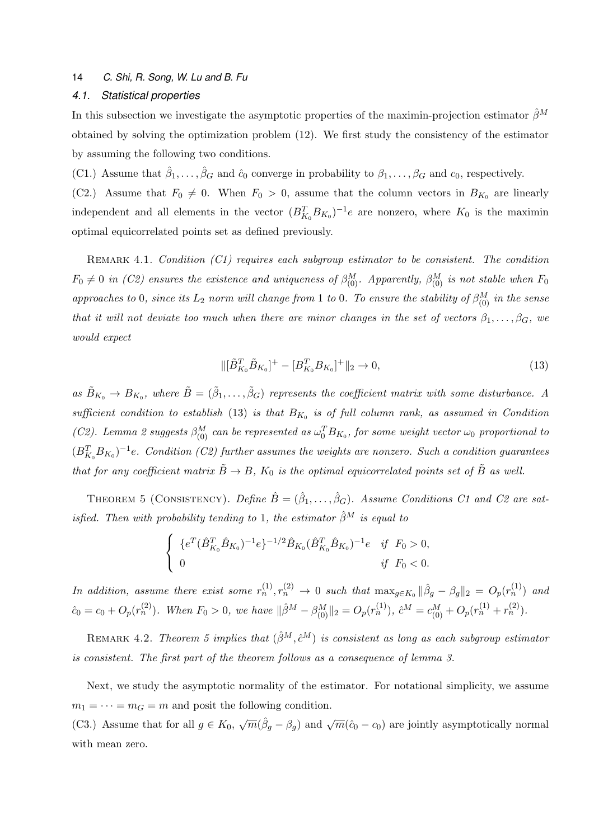# *4.1. Statistical properties*

In this subsection we investigate the asymptotic properties of the maximin-projection estimator  $\hat{\beta}^M$ obtained by solving the optimization problem (12). We first study the consistency of the estimator by assuming the following two conditions.

(C1.) Assume that  $\hat{\beta}_1, \ldots, \hat{\beta}_G$  and  $\hat{c}_0$  converge in probability to  $\beta_1, \ldots, \beta_G$  and  $c_0$ , respectively.

(C2.) Assume that  $F_0 \neq 0$ . When  $F_0 > 0$ , assume that the column vectors in  $B_{K_0}$  are linearly independent and all elements in the vector  $(B_{K_0}^T B_{K_0})^{-1}e$  are nonzero, where  $K_0$  is the maximin optimal equicorrelated points set as defined previously.

Remark 4.1. *Condition (C1) requires each subgroup estimator to be consistent. The condition*  $F_0 \neq 0$  *in (C2)* ensures the existence and uniqueness of  $\beta_{(0)}^M$ . Apparently,  $\beta_{(0)}^M$  is not stable when  $F_0$ *approaches to* 0*, since its*  $L_2$  *norm will change from* 1 *to* 0*. To ensure the stability of*  $\beta_{(0)}^M$  *in the sense that it will not deviate too much when there are minor changes in the set of vectors*  $\beta_1, \ldots, \beta_G$ *, we would expect*

$$
\|[\tilde{B}_{K_0}^T \tilde{B}_{K_0}]^+ - [B_{K_0}^T B_{K_0}]^+\|_2 \to 0,
$$
\n(13)

*as*  $\tilde{B}_{K_0} \to B_{K_0}$ , where  $\tilde{B} = (\tilde{\beta}_1, \ldots, \tilde{\beta}_G)$  represents the coefficient matrix with some disturbance. A *sufficient condition to establish* (13) *is that*  $B_{K_0}$  *is of full column rank, as assumed in Condition (C2). Lemma 2 suggests*  $\beta_{(0)}^M$  *can be represented as*  $\omega_0^T B_{K_0}$ , *for some weight vector*  $\omega_0$  *proportional to*  $(B_{K_0}^T B_{K_0})^{-1}$ e. Condition (C2) further assumes the weights are nonzero. Such a condition guarantees *that for any coefficient matrix*  $\tilde{B} \to B$ ,  $K_0$  *is the optimal equicorrelated points set of*  $\tilde{B}$  *as well.* 

THEOREM 5 (CONSISTENCY). *Define*  $\hat{B} = (\hat{\beta}_1, \ldots, \hat{\beta}_G)$ . Assume Conditions C1 and C2 are sat*isfied. Then with probability tending to* 1*, the estimator*  $\hat{\beta}^M$  *is equal to* 

$$
\begin{cases} \{e^{T}(\hat{B}_{K_{0}}^{T}\hat{B}_{K_{0}})^{-1}e\}^{-1/2}\hat{B}_{K_{0}}(\hat{B}_{K_{0}}^{T}\hat{B}_{K_{0}})^{-1}e & \text{if } F_{0} > 0, \\ 0 & \text{if } F_{0} < 0. \end{cases}
$$

In addition, assume there exist some  $r_n^{(1)}, r_n^{(2)} \to 0$  such that  $\max_{g \in K_0} ||\hat{\beta}_g - \beta_g||_2 = O_p(r_n^{(1)})$  and  $\hat{c}_0 = c_0 + O_p(r_n^{(2)})$ . When  $F_0 > 0$ , we have  $\|\hat{\beta}^M - \beta_{(0)}^M\|_2 = O_p(r_n^{(1)})$ ,  $\hat{c}^M = c_{(0)}^M + O_p(r_n^{(1)} + r_n^{(2)})$ .

REMARK 4.2. *Theorem 5 implies that*  $(\hat{\beta}^M, \hat{c}^M)$  *is consistent as long as each subgroup estimator is consistent. The first part of the theorem follows as a consequence of lemma 3.*

Next, we study the asymptotic normality of the estimator. For notational simplicity, we assume  $m_1 = \cdots = m_G = m$  and posit the following condition.

(C3.) Assume that for all  $g \in K_0$ ,  $\sqrt{m}(\hat{\beta}_g - \beta_g)$  and  $\sqrt{m}(\hat{c}_0 - c_0)$  are jointly asymptotically normal with mean zero.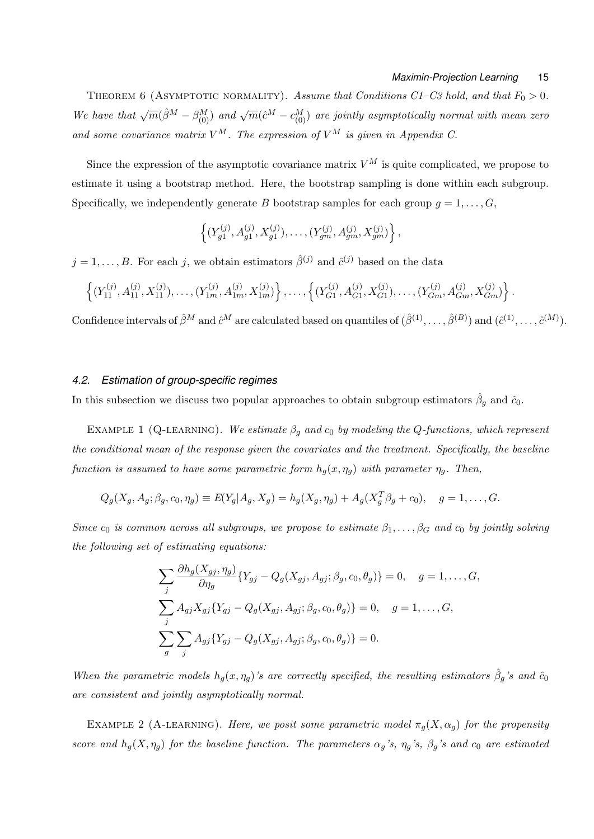THEOREM 6 (ASYMPTOTIC NORMALITY). Assume that Conditions  $C1-C3$  hold, and that  $F_0 > 0$ . *We have that*  $\sqrt{m}(\hat{\beta}^M - \beta^M_{(0)})$  *and*  $\sqrt{m}(\hat{c}^M - c^M_{(0)})$  *are jointly asymptotically normal with mean zero* and some covariance matrix  $V^M$ . The expression of  $V^M$  is given in Appendix C.

Since the expression of the asymptotic covariance matrix  $V^M$  is quite complicated, we propose to estimate it using a bootstrap method. Here, the bootstrap sampling is done within each subgroup. Specifically, we independently generate *B* bootstrap samples for each group  $q = 1, \ldots, G$ ,

$$
\left\{ (Y_{g1}^{(j)}, A_{g1}^{(j)}, X_{g1}^{(j)}), \ldots, (Y_{gm}^{(j)}, A_{gm}^{(j)}, X_{gm}^{(j)}) \right\},\,
$$

 $j = 1, \ldots, B$ . For each *j*, we obtain estimators  $\hat{\beta}^{(j)}$  and  $\hat{c}^{(j)}$  based on the data

$$
\left\{ (Y_{11}^{(j)}, A_{11}^{(j)}, X_{11}^{(j)}), \ldots, (Y_{1m}^{(j)}, A_{1m}^{(j)}, X_{1m}^{(j)}) \right\}, \ldots, \left\{ (Y_{G1}^{(j)}, A_{G1}^{(j)}, X_{G1}^{(j)}), \ldots, (Y_{Gm}^{(j)}, A_{Gm}^{(j)}, X_{Gm}^{(j)}) \right\}.
$$

Confidence intervals of  $\hat{\beta}^M$  and  $\hat{c}^M$  are calculated based on quantiles of  $(\hat{\beta}^{(1)}, \ldots, \hat{\beta}^{(B)})$  and  $(\hat{c}^{(1)}, \ldots, \hat{c}^{(M)})$ .

## *4.2. Estimation of group-specific regimes*

In this subsection we discuss two popular approaches to obtain subgroup estimators  $\hat{\beta}_g$  and  $\hat{c}_0$ .

EXAMPLE 1 (Q-LEARNING). We estimate  $\beta_g$  and  $c_0$  by modeling the Q-functions, which represent *the conditional mean of the response given the covariates and the treatment. Specifically, the baseline function is assumed to have some parametric form*  $h_g(x, \eta_g)$  *with parameter*  $\eta_g$ *. Then,* 

$$
Q_g(X_g, A_g; \beta_g, c_0, \eta_g) \equiv E(Y_g | A_g, X_g) = h_g(X_g, \eta_g) + A_g(X_g^T \beta_g + c_0), \quad g = 1, ..., G.
$$

*Since*  $c_0$  *is common across all subgroups, we propose to estimate*  $\beta_1, \ldots, \beta_G$  *and*  $c_0$  *by jointly solving the following set of estimating equations:*

$$
\sum_{j} \frac{\partial h_g(X_{gj}, \eta_g)}{\partial \eta_g} \{Y_{gj} - Q_g(X_{gj}, A_{gj}; \beta_g, c_0, \theta_g)\} = 0, \quad g = 1, ..., G,
$$
  

$$
\sum_{j} A_{gj} X_{gj} \{Y_{gj} - Q_g(X_{gj}, A_{gj}; \beta_g, c_0, \theta_g)\} = 0, \quad g = 1, ..., G,
$$
  

$$
\sum_{g} \sum_{j} A_{gj} \{Y_{gj} - Q_g(X_{gj}, A_{gj}; \beta_g, c_0, \theta_g)\} = 0.
$$

*When the parametric models*  $h_g(x, \eta_g)$ *'s are correctly specified, the resulting estimators*  $\hat{\beta}_g$ *'s and*  $\hat{c}_0$ *are consistent and jointly asymptotically normal.*

EXAMPLE 2 (A-LEARNING). *Here, we posit some parametric model*  $\pi_q(X, \alpha_q)$  *for the propensity score and*  $h_g(X, \eta_g)$  *for the baseline function. The parameters*  $\alpha_g$ *'s,*  $\eta_g$ *'s,*  $\beta_g$ *'s and*  $c_0$  *are estimated*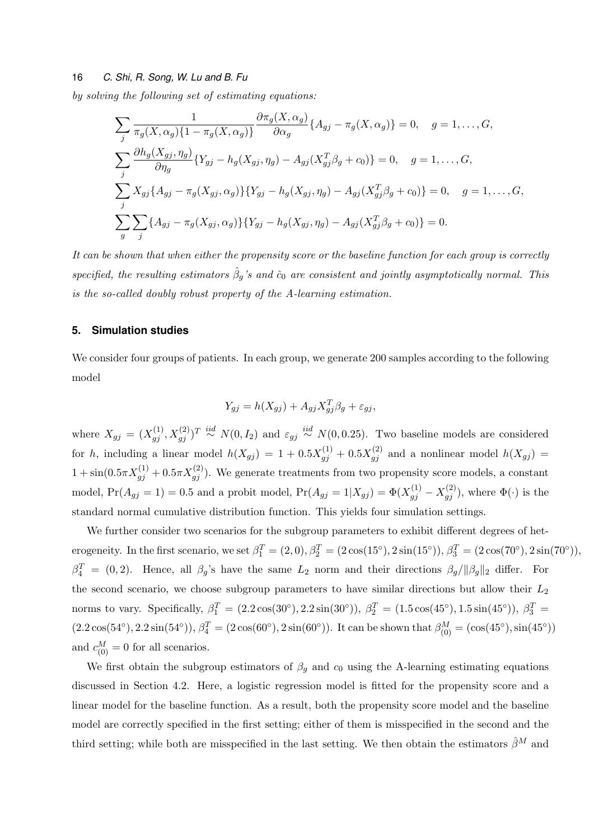*by solving the following set of estimating equations:*

$$
\sum_{j} \frac{1}{\pi_g(X, \alpha_g)\{1 - \pi_g(X, \alpha_g)\}} \frac{\partial \pi_g(X, \alpha_g)}{\partial \alpha_g} \{A_{gj} - \pi_g(X, \alpha_g)\} = 0, \quad g = 1, ..., G,
$$
  

$$
\sum_{j} \frac{\partial h_g(X_{gj}, \eta_g)}{\partial \eta_g} \{Y_{gj} - h_g(X_{gj}, \eta_g) - A_{gj}(X_{gj}^T \beta_g + c_0)\} = 0, \quad g = 1, ..., G,
$$
  

$$
\sum_{j} X_{gj} \{A_{gj} - \pi_g(X_{gj}, \alpha_g)\} \{Y_{gj} - h_g(X_{gj}, \eta_g) - A_{gj}(X_{gj}^T \beta_g + c_0)\} = 0, \quad g = 1, ..., G,
$$
  

$$
\sum_{g} \sum_{j} \{A_{gj} - \pi_g(X_{gj}, \alpha_g)\} \{Y_{gj} - h_g(X_{gj}, \eta_g) - A_{gj}(X_{gj}^T \beta_g + c_0)\} = 0.
$$

*It can be shown that when either the propensity score or the baseline function for each group is correctly specified, the resulting estimators*  $\hat{\beta}_g$ 's and  $\hat{c}_0$  are consistent and jointly asymptotically normal. This *is the so-called doubly robust property of the A-learning estimation.*

## **5. Simulation studies**

We consider four groups of patients. In each group, we generate 200 samples according to the following model

$$
Y_{gj} = h(X_{gj}) + A_{gj} X_{gj}^T \beta_g + \varepsilon_{gj},
$$

where  $X_{gj} = (X_{gj}^{(1)}, X_{gj}^{(2)})^T \stackrel{iid}{\sim} N(0, I_2)$  and  $\varepsilon_{gj} \stackrel{iid}{\sim} N(0, 0.25)$ . Two baseline models are considered for *h*, including a linear model  $h(X_{gj}) = 1 + 0.5X_{gj}^{(1)} + 0.5X_{gj}^{(2)}$  and a nonlinear model  $h(X_{gj}) =$  $1 + \sin(0.5\pi X_{gj}^{(1)} + 0.5\pi X_{gj}^{(2)})$ . We generate treatments from two propensity score models, a constant model,  $Pr(A_{gj} = 1) = 0.5$  and a probit model,  $Pr(A_{gj} = 1 | X_{gj}) = \Phi(X_{gj}^{(1)} - X_{gj}^{(2)})$ , where  $\Phi(\cdot)$  is the standard normal cumulative distribution function. This yields four simulation settings.

We further consider two scenarios for the subgroup parameters to exhibit different degrees of heterogeneity. In the first scenario, we set  $\beta_1^T = (2,0), \beta_2^T = (2\cos(15^\circ), 2\sin(15^\circ)), \beta_3^T = (2\cos(70^\circ), 2\sin(70^\circ)),$  $\beta_4^T = (0, 2)$ . Hence, all  $\beta_g$ 's have the same  $L_2$  norm and their directions  $\beta_g / ||\beta_g||_2$  differ. For the second scenario, we choose subgroup parameters to have similar directions but allow their *L*<sup>2</sup> norms to vary. Specifically,  $\beta_1^T = (2.2 \cos(30^\circ), 2.2 \sin(30^\circ)), \ \beta_2^T = (1.5 \cos(45^\circ), 1.5 \sin(45^\circ)), \ \beta_3^T =$  $(2.2 \cos(54^\circ), 2.2 \sin(54^\circ)), \beta_4^T = (2 \cos(60^\circ), 2 \sin(60^\circ)).$  It can be shown that  $\beta_{(0)}^M = (\cos(45^\circ), \sin(45^\circ))$ and  $c_{(0)}^M = 0$  for all scenarios.

We first obtain the subgroup estimators of  $\beta_g$  and  $c_0$  using the A-learning estimating equations discussed in Section 4.2. Here, a logistic regression model is fitted for the propensity score and a linear model for the baseline function. As a result, both the propensity score model and the baseline model are correctly specified in the first setting; either of them is misspecified in the second and the third setting; while both are misspecified in the last setting. We then obtain the estimators  $\hat{\beta}^M$  and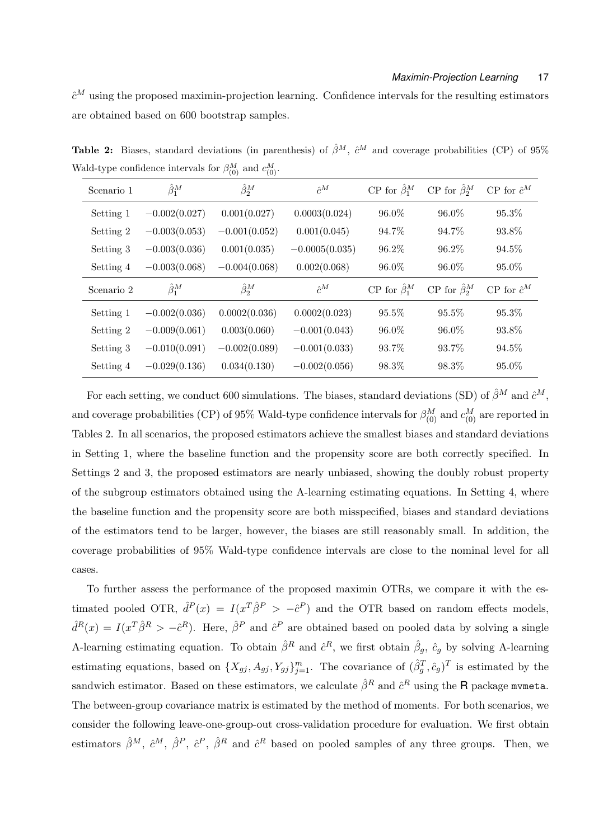$\hat{c}^M$  using the proposed maximin-projection learning. Confidence intervals for the resulting estimators are obtained based on 600 bootstrap samples.

| Scenario 1 | $\hat{\beta}_1^M$ | $\hat{\beta}_2^M$ | $\hat{c}^M$      | CP for $\hat{\beta}_1^M$ | CP for $\hat{\beta}_2^M$ | $CP$ for $\hat{c}^M$ |
|------------|-------------------|-------------------|------------------|--------------------------|--------------------------|----------------------|
| Setting 1  | $-0.002(0.027)$   | 0.001(0.027)      | 0.0003(0.024)    | 96.0%                    | 96.0%                    | 95.3%                |
| Setting 2  | $-0.003(0.053)$   | $-0.001(0.052)$   | 0.001(0.045)     | 94.7%                    | 94.7%                    | 93.8%                |
| Setting 3  | $-0.003(0.036)$   | 0.001(0.035)      | $-0.0005(0.035)$ | 96.2%                    | 96.2%                    | 94.5%                |
| Setting 4  | $-0.003(0.068)$   | $-0.004(0.068)$   | 0.002(0.068)     | 96.0%                    | 96.0%                    | 95.0%                |
| Scenario 2 | $\hat{\beta}_1^M$ | $\hat{\beta}_2^M$ | $\hat{c}^M$      | CP for $\hat{\beta}_1^M$ | CP for $\hat{\beta}_2^M$ | $CP$ for $\hat{c}^M$ |
| Setting 1  | $-0.002(0.036)$   | 0.0002(0.036)     | 0.0002(0.023)    | 95.5%                    | 95.5%                    | 95.3%                |
| Setting 2  | $-0.009(0.061)$   | 0.003(0.060)      | $-0.001(0.043)$  | 96.0%                    | 96.0%                    | 93.8%                |
| Setting 3  | $-0.010(0.091)$   | $-0.002(0.089)$   | $-0.001(0.033)$  | 93.7%                    | 93.7%                    | 94.5%                |
| Setting 4  | $-0.029(0.136)$   | 0.034(0.130)      | $-0.002(0.056)$  | 98.3%                    | 98.3%                    | $95.0\%$             |

**Table 2:** Biases, standard deviations (in parenthesis) of  $\hat{\beta}^M$ ,  $\hat{c}^M$  and coverage probabilities (CP) of 95% Wald-type confidence intervals for  $\beta_{(0)}^M$  and  $c_{(0)}^M$ .

For each setting, we conduct 600 simulations. The biases, standard deviations (SD) of  $\hat{\beta}^M$  and  $\hat{c}^M$ , and coverage probabilities (CP) of 95% Wald-type confidence intervals for  $\beta_{(0)}^M$  and  $c_{(0)}^M$  are reported in Tables 2. In all scenarios, the proposed estimators achieve the smallest biases and standard deviations in Setting 1, where the baseline function and the propensity score are both correctly specified. In Settings 2 and 3, the proposed estimators are nearly unbiased, showing the doubly robust property of the subgroup estimators obtained using the A-learning estimating equations. In Setting 4, where the baseline function and the propensity score are both misspecified, biases and standard deviations of the estimators tend to be larger, however, the biases are still reasonably small. In addition, the coverage probabilities of 95% Wald-type confidence intervals are close to the nominal level for all cases.

To further assess the performance of the proposed maximin OTRs, we compare it with the estimated pooled OTR,  $\hat{d}^P(x) = I(x^T\hat{\beta}^P > -\hat{c}^P)$  and the OTR based on random effects models,  $\hat{d}^{R}(x) = I(x^{T}\hat{\beta}^{R} > -\hat{c}^{R})$ . Here,  $\hat{\beta}^{P}$  and  $\hat{c}^{P}$  are obtained based on pooled data by solving a single A-learning estimating equation. To obtain  $\hat{\beta}^R$  and  $\hat{c}^R$ , we first obtain  $\hat{\beta}_g$ ,  $\hat{c}_g$  by solving A-learning estimating equations, based on  $\{X_{gj}, A_{gj}, Y_{gj}\}_{j=1}^m$ . The covariance of  $(\hat{\beta}_g^T, \hat{c}_g)^T$  is estimated by the sandwich estimator. Based on these estimators, we calculate  $\hat{\beta}^R$  and  $\hat{c}^R$  using the  ${\sf R}$  package mvmeta. The between-group covariance matrix is estimated by the method of moments. For both scenarios, we consider the following leave-one-group-out cross-validation procedure for evaluation. We first obtain estimators  $\hat{\beta}^M$ ,  $\hat{c}^M$ ,  $\hat{\beta}^P$ ,  $\hat{c}^P$ ,  $\hat{\beta}^R$  and  $\hat{c}^R$  based on pooled samples of any three groups. Then, we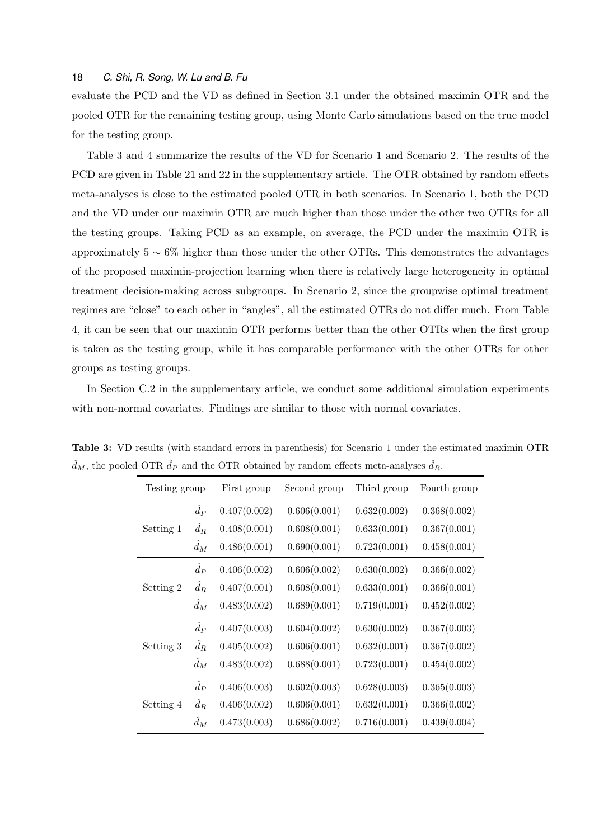evaluate the PCD and the VD as defined in Section 3.1 under the obtained maximin OTR and the pooled OTR for the remaining testing group, using Monte Carlo simulations based on the true model for the testing group.

Table 3 and 4 summarize the results of the VD for Scenario 1 and Scenario 2. The results of the PCD are given in Table 21 and 22 in the supplementary article. The OTR obtained by random effects meta-analyses is close to the estimated pooled OTR in both scenarios. In Scenario 1, both the PCD and the VD under our maximin OTR are much higher than those under the other two OTRs for all the testing groups. Taking PCD as an example, on average, the PCD under the maximin OTR is approximately 5 *∼* 6% higher than those under the other OTRs. This demonstrates the advantages of the proposed maximin-projection learning when there is relatively large heterogeneity in optimal treatment decision-making across subgroups. In Scenario 2, since the groupwise optimal treatment regimes are "close" to each other in "angles", all the estimated OTRs do not differ much. From Table 4, it can be seen that our maximin OTR performs better than the other OTRs when the first group is taken as the testing group, while it has comparable performance with the other OTRs for other groups as testing groups.

In Section C.2 in the supplementary article, we conduct some additional simulation experiments with non-normal covariates. Findings are similar to those with normal covariates.

| Testing group |             | First group  | Second group | Third group  | Fourth group |  |
|---------------|-------------|--------------|--------------|--------------|--------------|--|
|               | $\hat{d}_P$ | 0.407(0.002) | 0.606(0.001) | 0.632(0.002) | 0.368(0.002) |  |
| Setting 1     | $\hat{d}_R$ | 0.408(0.001) | 0.608(0.001) | 0.633(0.001) | 0.367(0.001) |  |
|               | $\hat{d}_M$ | 0.486(0.001) | 0.690(0.001) | 0.723(0.001) | 0.458(0.001) |  |
| Setting 2     | $\hat{d}_P$ | 0.406(0.002) | 0.606(0.002) | 0.630(0.002) | 0.366(0.002) |  |
|               | $\hat{d}_R$ | 0.407(0.001) | 0.608(0.001) | 0.633(0.001) | 0.366(0.001) |  |
|               | $\hat{d}_M$ | 0.483(0.002) | 0.689(0.001) | 0.719(0.001) | 0.452(0.002) |  |
| Setting 3     | $\hat{d}_P$ | 0.407(0.003) | 0.604(0.002) | 0.630(0.002) | 0.367(0.003) |  |
|               | $\hat{d}_R$ | 0.405(0.002) | 0.606(0.001) | 0.632(0.001) | 0.367(0.002) |  |
|               | $\hat{d}_M$ | 0.483(0.002) | 0.688(0.001) | 0.723(0.001) | 0.454(0.002) |  |
| Setting 4     | $\hat{d}_P$ | 0.406(0.003) | 0.602(0.003) | 0.628(0.003) | 0.365(0.003) |  |
|               | $\hat{d}_R$ | 0.406(0.002) | 0.606(0.001) | 0.632(0.001) | 0.366(0.002) |  |
|               | $\hat{d}_M$ | 0.473(0.003) | 0.686(0.002) | 0.716(0.001) | 0.439(0.004) |  |

**Table 3:** VD results (with standard errors in parenthesis) for Scenario 1 under the estimated maximin OTR  $\hat{d}_M$ , the pooled OTR  $\hat{d}_P$  and the OTR obtained by random effects meta-analyses  $\hat{d}_R$ .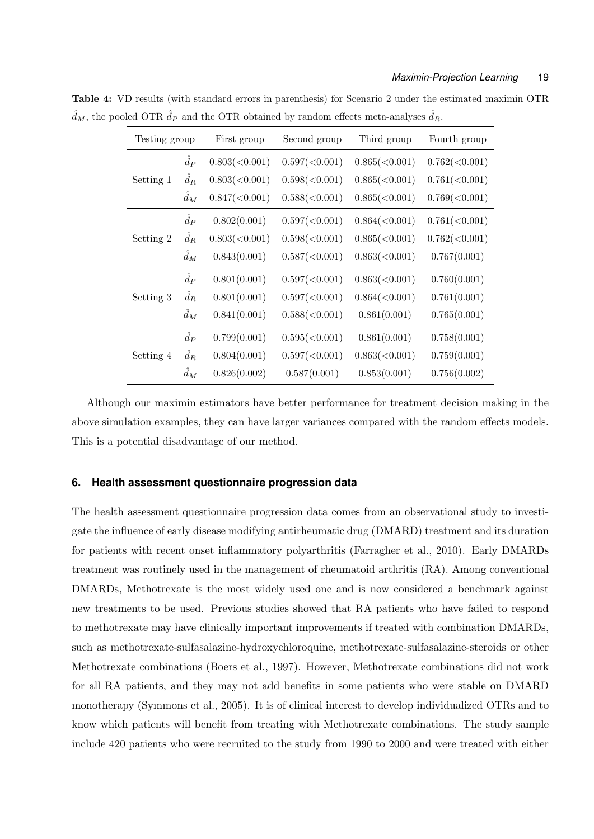| Testing group |             | First group   | Third group<br>Second group |                      | Fourth group  |  |
|---------------|-------------|---------------|-----------------------------|----------------------|---------------|--|
|               | $\hat{d}_P$ | 0.803(<0.001) | 0.597(<0.001)               | 0.865(<0.001)        | 0.762(<0.001) |  |
| Setting 1     | $\hat{d}_R$ | 0.803(<0.001) | $0.598 \times 0.001$        | $0.865 \times 0.001$ | 0.761(<0.001) |  |
|               | $\hat{d}_M$ | 0.847(<0.001) | 0.588(<0.001)               | $0.865 \times 0.001$ | 0.769(<0.001) |  |
|               | $\hat{d}_P$ | 0.802(0.001)  | 0.597(<0.001)               | 0.864(<0.001)        | 0.761(<0.001) |  |
| Setting 2     | $\hat{d}_R$ | 0.803(<0.001) | 0.598(<0.001)               | 0.865(<0.001)        | 0.762(<0.001) |  |
|               | $\hat{d}_M$ | 0.843(0.001)  | 0.587(<0.001)               | 0.863(<0.001)        | 0.767(0.001)  |  |
|               | $\hat{d}_P$ | 0.801(0.001)  | 0.597(<0.001)               | 0.863(<0.001)        | 0.760(0.001)  |  |
| Setting 3     | $\hat{d}_R$ | 0.801(0.001)  | 0.597(<0.001)               | 0.864(<0.001)        | 0.761(0.001)  |  |
|               | $\hat{d}_M$ | 0.841(0.001)  | 0.588(<0.001)               | 0.861(0.001)         | 0.765(0.001)  |  |
|               | $\hat{d}_P$ | 0.799(0.001)  | 0.595(<0.001)               | 0.861(0.001)         | 0.758(0.001)  |  |
| Setting 4     | $d_R$       | 0.804(0.001)  | 0.597(<0.001)               | 0.863(<0.001)        | 0.759(0.001)  |  |
|               | $\hat{d}_M$ | 0.826(0.002)  | 0.587(0.001)                | 0.853(0.001)         | 0.756(0.002)  |  |

**Table 4:** VD results (with standard errors in parenthesis) for Scenario 2 under the estimated maximin OTR  $\hat{d}_M$ , the pooled OTR  $\hat{d}_P$  and the OTR obtained by random effects meta-analyses  $\hat{d}_R$ .

Although our maximin estimators have better performance for treatment decision making in the above simulation examples, they can have larger variances compared with the random effects models. This is a potential disadvantage of our method.

## **6. Health assessment questionnaire progression data**

The health assessment questionnaire progression data comes from an observational study to investigate the influence of early disease modifying antirheumatic drug (DMARD) treatment and its duration for patients with recent onset inflammatory polyarthritis (Farragher et al., 2010). Early DMARDs treatment was routinely used in the management of rheumatoid arthritis (RA). Among conventional DMARDs, Methotrexate is the most widely used one and is now considered a benchmark against new treatments to be used. Previous studies showed that RA patients who have failed to respond to methotrexate may have clinically important improvements if treated with combination DMARDs, such as methotrexate-sulfasalazine-hydroxychloroquine, methotrexate-sulfasalazine-steroids or other Methotrexate combinations (Boers et al., 1997). However, Methotrexate combinations did not work for all RA patients, and they may not add benefits in some patients who were stable on DMARD monotherapy (Symmons et al., 2005). It is of clinical interest to develop individualized OTRs and to know which patients will benefit from treating with Methotrexate combinations. The study sample include 420 patients who were recruited to the study from 1990 to 2000 and were treated with either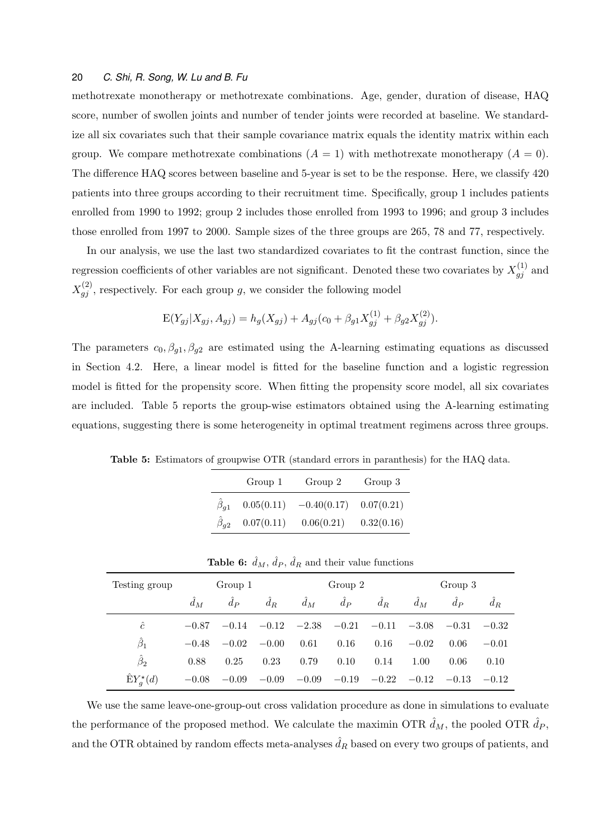methotrexate monotherapy or methotrexate combinations. Age, gender, duration of disease, HAQ score, number of swollen joints and number of tender joints were recorded at baseline. We standardize all six covariates such that their sample covariance matrix equals the identity matrix within each group. We compare methotrexate combinations  $(A = 1)$  with methotrexate monotherapy  $(A = 0)$ . The difference HAQ scores between baseline and 5-year is set to be the response. Here, we classify 420 patients into three groups according to their recruitment time. Specifically, group 1 includes patients enrolled from 1990 to 1992; group 2 includes those enrolled from 1993 to 1996; and group 3 includes those enrolled from 1997 to 2000. Sample sizes of the three groups are 265, 78 and 77, respectively.

In our analysis, we use the last two standardized covariates to fit the contrast function, since the regression coefficients of other variables are not significant. Denoted these two covariates by  $X_{gj}^{(1)}$  and  $X_{gj}^{(2)}$ , respectively. For each group *g*, we consider the following model

$$
E(Y_{gj}|X_{gj}, A_{gj}) = h_g(X_{gj}) + A_{gj}(c_0 + \beta_{g1}X_{gj}^{(1)} + \beta_{g2}X_{gj}^{(2)}).
$$

The parameters  $c_0$ ,  $\beta_{g1}$ ,  $\beta_{g2}$  are estimated using the A-learning estimating equations as discussed in Section 4.2. Here, a linear model is fitted for the baseline function and a logistic regression model is fitted for the propensity score. When fitting the propensity score model, all six covariates are included. Table 5 reports the group-wise estimators obtained using the A-learning estimating equations, suggesting there is some heterogeneity in optimal treatment regimens across three groups.

**Table 5:** Estimators of groupwise OTR (standard errors in paranthesis) for the HAQ data.

|                         | Group 1    | Group 2       | Group 3    |
|-------------------------|------------|---------------|------------|
| $\hat{\beta}_{q1}$      | 0.05(0.11) | $-0.40(0.17)$ | 0.07(0.21) |
| $\hat{\beta}_{\bm{q2}}$ | 0.07(0.11) | 0.06(0.21)    | 0.32(0.16) |

|  | <b>Table 6:</b> $d_M$ , $d_P$ , $d_R$ and their value functions |  |
|--|-----------------------------------------------------------------|--|
|--|-----------------------------------------------------------------|--|

| Testing group     | Group 1 |         |                         | Group 2     |         |               | Group 3      |               |         |
|-------------------|---------|---------|-------------------------|-------------|---------|---------------|--------------|---------------|---------|
|                   | $d_M$   | $d_{P}$ | $d_R$                   | $\hat{d}_M$ | $d_{P}$ | $d_R$         | $\ddot{d}_M$ | $d_{P}$       | $d_R$   |
| ĉ                 | $-0.87$ |         | $-0.14$ $-0.12$ $-2.38$ |             |         | $-0.21 -0.11$ | $-3.08$      | $-0.31 -0.32$ |         |
| $\hat{\beta}_1$   | $-0.48$ | $-0.02$ | $-0.00$                 | 0.61        | 0.16    | 0.16          | $-0.02$      | 0.06          | $-0.01$ |
| $\hat{\beta}_2$   | 0.88    | 0.25    | 0.23                    | 0.79        | 0.10    | 0.14          | 1.00         | 0.06          | 0.10    |
| $EY_a^{\star}(d)$ | $-0.08$ | $-0.09$ | $-0.09$                 | $-0.09$     | $-0.19$ | $-0.22\,$     | $-0.12$      | $-0.13$       | $-0.12$ |

We use the same leave-one-group-out cross validation procedure as done in simulations to evaluate the performance of the proposed method. We calculate the maximin OTR  $\hat{d}_M$ , the pooled OTR  $\hat{d}_P$ , and the OTR obtained by random effects meta-analyses  $d<sub>R</sub>$  based on every two groups of patients, and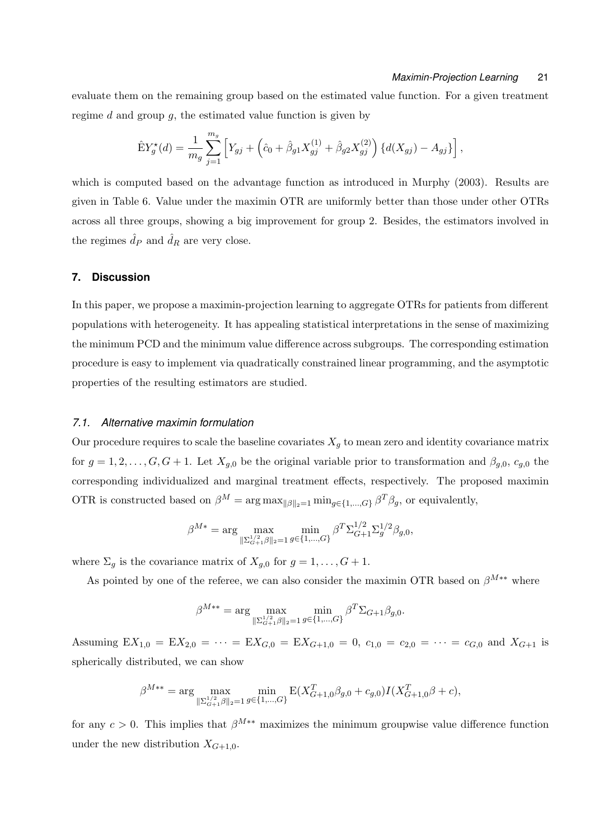evaluate them on the remaining group based on the estimated value function. For a given treatment regime *d* and group *g*, the estimated value function is given by

$$
\hat{E}Y_g^{\star}(d) = \frac{1}{m_g} \sum_{j=1}^{m_g} \left[ Y_{gj} + \left( \hat{c}_0 + \hat{\beta}_{g1} X_{gj}^{(1)} + \hat{\beta}_{g2} X_{gj}^{(2)} \right) \{ d(X_{gj}) - A_{gj} \} \right],
$$

which is computed based on the advantage function as introduced in Murphy (2003). Results are given in Table 6. Value under the maximin OTR are uniformly better than those under other OTRs across all three groups, showing a big improvement for group 2. Besides, the estimators involved in the regimes  $\hat{d}_P$  and  $\hat{d}_R$  are very close.

## **7. Discussion**

In this paper, we propose a maximin-projection learning to aggregate OTRs for patients from different populations with heterogeneity. It has appealing statistical interpretations in the sense of maximizing the minimum PCD and the minimum value difference across subgroups. The corresponding estimation procedure is easy to implement via quadratically constrained linear programming, and the asymptotic properties of the resulting estimators are studied.

## *7.1. Alternative maximin formulation*

Our procedure requires to scale the baseline covariates  $X_g$  to mean zero and identity covariance matrix for  $g = 1, 2, \ldots, G, G + 1$ . Let  $X_{g,0}$  be the original variable prior to transformation and  $\beta_{g,0}, c_{g,0}$  the corresponding individualized and marginal treatment effects, respectively. The proposed maximin OTR is constructed based on  $\beta^M = \arg \max_{\|\beta\|_2=1} \min_{g \in \{1,\dots,G\}} \beta^T \beta_g$ , or equivalently,

$$
\beta^{M*} = \arg \max_{\|\Sigma_{G+1}^{1/2} \beta\|_2 = 1} \min_{g \in \{1, \dots, G\}} \beta^T \Sigma_{G+1}^{1/2} \Sigma_g^{1/2} \beta_{g,0},
$$

where  $\Sigma_q$  is the covariance matrix of  $X_{q,0}$  for  $g = 1, \ldots, G + 1$ .

As pointed by one of the referee, we can also consider the maximin OTR based on *βM∗∗* where

$$
\beta^{M**} = \arg\max_{\| \Sigma_{G+1}^{1/2} \beta \|_2 = 1} \min_{g \in \{1, \dots, G\}} \beta^T \Sigma_{G+1} \beta_{g,0}.
$$

Assuming  $EX_{1,0} = EX_{2,0} = \cdots = EX_{G,0} = EX_{G+1,0} = 0$ ,  $c_{1,0} = c_{2,0} = \cdots = c_{G,0}$  and  $X_{G+1}$  is spherically distributed, we can show

$$
\beta^{M**} = \arg\max_{\| \Sigma_{G+1}^{1/2} \beta \|_2 = 1} \min_{g \in \{1, \dots, G\}} \mathcal{E}(X_{G+1,0}^T \beta_{g,0} + c_{g,0}) I(X_{G+1,0}^T \beta + c),
$$

for any  $c > 0$ . This implies that  $\beta^{M**}$  maximizes the minimum groupwise value difference function under the new distribution  $X_{G+1,0}$ .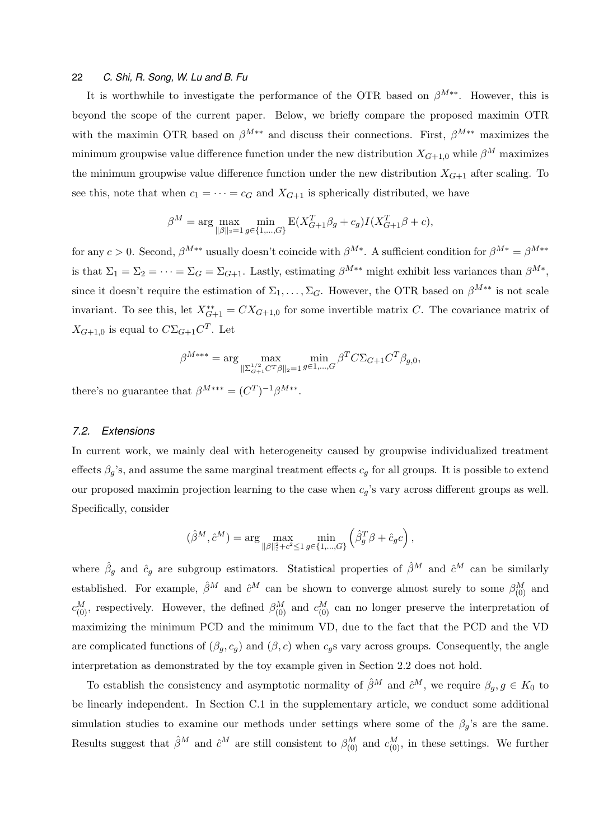It is worthwhile to investigate the performance of the OTR based on *βM∗∗*. However, this is beyond the scope of the current paper. Below, we briefly compare the proposed maximin OTR with the maximin OTR based on  $\beta^{M**}$  and discuss their connections. First,  $\beta^{M**}$  maximizes the minimum groupwise value difference function under the new distribution  $X_{G+1,0}$  while  $\beta^M$  maximizes the minimum groupwise value difference function under the new distribution  $X_{G+1}$  after scaling. To see this, note that when  $c_1 = \cdots = c_G$  and  $X_{G+1}$  is spherically distributed, we have

$$
\beta^{M} = \arg \max_{\|\beta\|_{2} = 1} \min_{g \in \{1, ..., G\}} \mathbf{E}(X_{G+1}^{T} \beta_{g} + c_{g}) I(X_{G+1}^{T} \beta + c),
$$

for any  $c > 0$ . Second,  $\beta^{M**}$  usually doesn't coincide with  $\beta^{M*}$ . A sufficient condition for  $\beta^{M*} = \beta^{M**}$ is that  $\Sigma_1 = \Sigma_2 = \cdots = \Sigma_G = \Sigma_{G+1}$ . Lastly, estimating  $\beta^{M**}$  might exhibit less variances than  $\beta^{M*}$ , since it doesn't require the estimation of  $\Sigma_1, \ldots, \Sigma_G$ . However, the OTR based on  $\beta^{M**}$  is not scale invariant. To see this, let  $X_{G+1}^{**} = CX_{G+1,0}$  for some invertible matrix *C*. The covariance matrix of  $X_{G+1,0}$  is equal to  $C\Sigma_{G+1}C^{T}$ . Let

$$
\beta^{M***} = \arg\max_{\|\Sigma_{G+1}^{1/2} C^T \beta\|_2 = 1} \min_{g \in 1, ..., G} \beta^T C \Sigma_{G+1} C^T \beta_{g,0},
$$

there's no guarantee that  $\beta^{M***} = (C^T)^{-1} \beta^{M**}$ .

## *7.2. Extensions*

In current work, we mainly deal with heterogeneity caused by groupwise individualized treatment effects  $\beta_g$ 's, and assume the same marginal treatment effects  $c_g$  for all groups. It is possible to extend our proposed maximin projection learning to the case when *cg*'s vary across different groups as well. Specifically, consider

$$
(\hat{\beta}^M, \hat{c}^M) = \arg \max_{\|\beta\|_2^2 + c^2 \le 1} \min_{g \in \{1, \dots, G\}} \left( \hat{\beta}_g^T \beta + \hat{c}_g c \right),
$$

where  $\hat{\beta}_g$  and  $\hat{c}_g$  are subgroup estimators. Statistical properties of  $\hat{\beta}^M$  and  $\hat{c}^M$  can be similarly established. For example,  $\hat{\beta}^M$  and  $\hat{c}^M$  can be shown to converge almost surely to some  $\beta^M_{(0)}$  and  $c_{(0)}^M$ , respectively. However, the defined  $\beta_{(0)}^M$  and  $c_{(0)}^M$  can no longer preserve the interpretation of maximizing the minimum PCD and the minimum VD, due to the fact that the PCD and the VD are complicated functions of  $(\beta_g, c_g)$  and  $(\beta, c)$  when  $c_g$ s vary across groups. Consequently, the angle interpretation as demonstrated by the toy example given in Section 2.2 does not hold.

To establish the consistency and asymptotic normality of  $\hat{\beta}^M$  and  $\hat{c}^M$ , we require  $\beta_g, g \in K_0$  to be linearly independent. In Section C.1 in the supplementary article, we conduct some additional simulation studies to examine our methods under settings where some of the  $\beta_q$ 's are the same. Results suggest that  $\hat{\beta}^M$  and  $\hat{c}^M$  are still consistent to  $\beta_{(0)}^M$  and  $c_{(0)}^M$ , in these settings. We further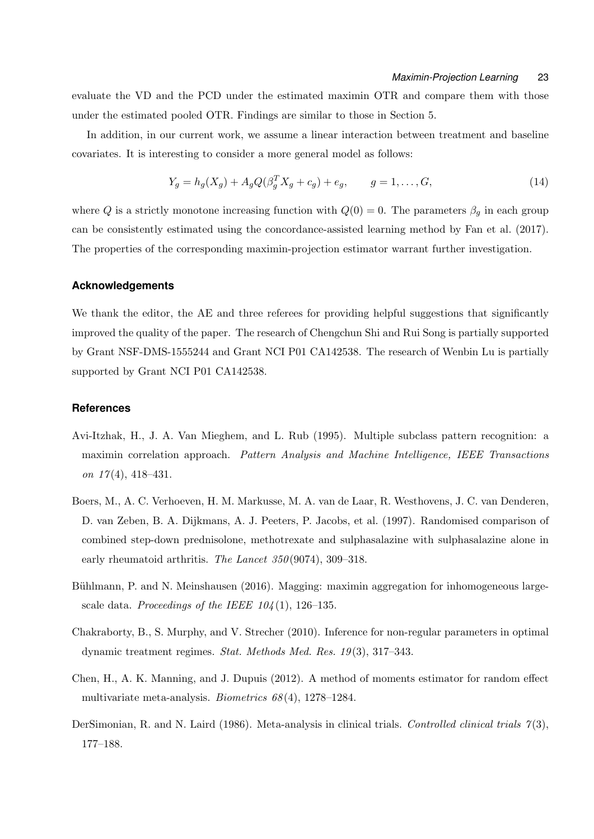evaluate the VD and the PCD under the estimated maximin OTR and compare them with those under the estimated pooled OTR. Findings are similar to those in Section 5.

In addition, in our current work, we assume a linear interaction between treatment and baseline covariates. It is interesting to consider a more general model as follows:

$$
Y_g = h_g(X_g) + A_g Q(\beta_g^T X_g + c_g) + e_g, \qquad g = 1, ..., G,
$$
\n(14)

where *Q* is a strictly monotone increasing function with  $Q(0) = 0$ . The parameters  $\beta_g$  in each group can be consistently estimated using the concordance-assisted learning method by Fan et al. (2017). The properties of the corresponding maximin-projection estimator warrant further investigation.

## **Acknowledgements**

We thank the editor, the AE and three referees for providing helpful suggestions that significantly improved the quality of the paper. The research of Chengchun Shi and Rui Song is partially supported by Grant NSF-DMS-1555244 and Grant NCI P01 CA142538. The research of Wenbin Lu is partially supported by Grant NCI P01 CA142538.

# **References**

- Avi-Itzhak, H., J. A. Van Mieghem, and L. Rub (1995). Multiple subclass pattern recognition: a maximin correlation approach. *Pattern Analysis and Machine Intelligence, IEEE Transactions on 17* (4), 418–431.
- Boers, M., A. C. Verhoeven, H. M. Markusse, M. A. van de Laar, R. Westhovens, J. C. van Denderen, D. van Zeben, B. A. Dijkmans, A. J. Peeters, P. Jacobs, et al. (1997). Randomised comparison of combined step-down prednisolone, methotrexate and sulphasalazine with sulphasalazine alone in early rheumatoid arthritis. *The Lancet 350* (9074), 309–318.
- Bühlmann, P. and N. Meinshausen (2016). Magging: maximin aggregation for inhomogeneous largescale data. *Proceedings of the IEEE 104* (1), 126–135.
- Chakraborty, B., S. Murphy, and V. Strecher (2010). Inference for non-regular parameters in optimal dynamic treatment regimes. *Stat. Methods Med. Res. 19* (3), 317–343.
- Chen, H., A. K. Manning, and J. Dupuis (2012). A method of moments estimator for random effect multivariate meta-analysis. *Biometrics 68* (4), 1278–1284.
- DerSimonian, R. and N. Laird (1986). Meta-analysis in clinical trials. *Controlled clinical trials 7* (3), 177–188.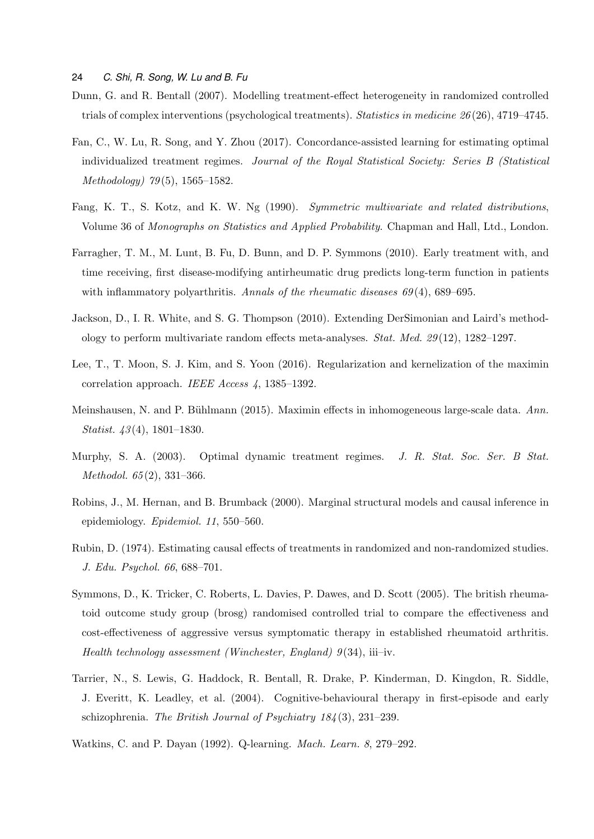- Dunn, G. and R. Bentall (2007). Modelling treatment-effect heterogeneity in randomized controlled trials of complex interventions (psychological treatments). *Statistics in medicine 26* (26), 4719–4745.
- Fan, C., W. Lu, R. Song, and Y. Zhou (2017). Concordance-assisted learning for estimating optimal individualized treatment regimes. *Journal of the Royal Statistical Society: Series B (Statistical Methodology) 79* (5), 1565–1582.
- Fang, K. T., S. Kotz, and K. W. Ng (1990). *Symmetric multivariate and related distributions*, Volume 36 of *Monographs on Statistics and Applied Probability*. Chapman and Hall, Ltd., London.
- Farragher, T. M., M. Lunt, B. Fu, D. Bunn, and D. P. Symmons (2010). Early treatment with, and time receiving, first disease-modifying antirheumatic drug predicts long-term function in patients with inflammatory polyarthritis. *Annals of the rheumatic diseases 69(4)*, 689–695.
- Jackson, D., I. R. White, and S. G. Thompson (2010). Extending DerSimonian and Laird's methodology to perform multivariate random effects meta-analyses. *Stat. Med. 29* (12), 1282–1297.
- Lee, T., T. Moon, S. J. Kim, and S. Yoon (2016). Regularization and kernelization of the maximin correlation approach. *IEEE Access 4*, 1385–1392.
- Meinshausen, N. and P. Bühlmann (2015). Maximin effects in inhomogeneous large-scale data. Ann. *Statist. 43* (4), 1801–1830.
- Murphy, S. A. (2003). Optimal dynamic treatment regimes. *J. R. Stat. Soc. Ser. B Stat. Methodol. 65* (2), 331–366.
- Robins, J., M. Hernan, and B. Brumback (2000). Marginal structural models and causal inference in epidemiology. *Epidemiol. 11*, 550–560.
- Rubin, D. (1974). Estimating causal effects of treatments in randomized and non-randomized studies. *J. Edu. Psychol. 66*, 688–701.
- Symmons, D., K. Tricker, C. Roberts, L. Davies, P. Dawes, and D. Scott (2005). The british rheumatoid outcome study group (brosg) randomised controlled trial to compare the effectiveness and cost-effectiveness of aggressive versus symptomatic therapy in established rheumatoid arthritis. *Health technology assessment (Winchester, England) 9* (34), iii–iv.
- Tarrier, N., S. Lewis, G. Haddock, R. Bentall, R. Drake, P. Kinderman, D. Kingdon, R. Siddle, J. Everitt, K. Leadley, et al. (2004). Cognitive-behavioural therapy in first-episode and early schizophrenia. *The British Journal of Psychiatry 184* (3), 231–239.
- Watkins, C. and P. Dayan (1992). Q-learning. *Mach. Learn. 8*, 279–292.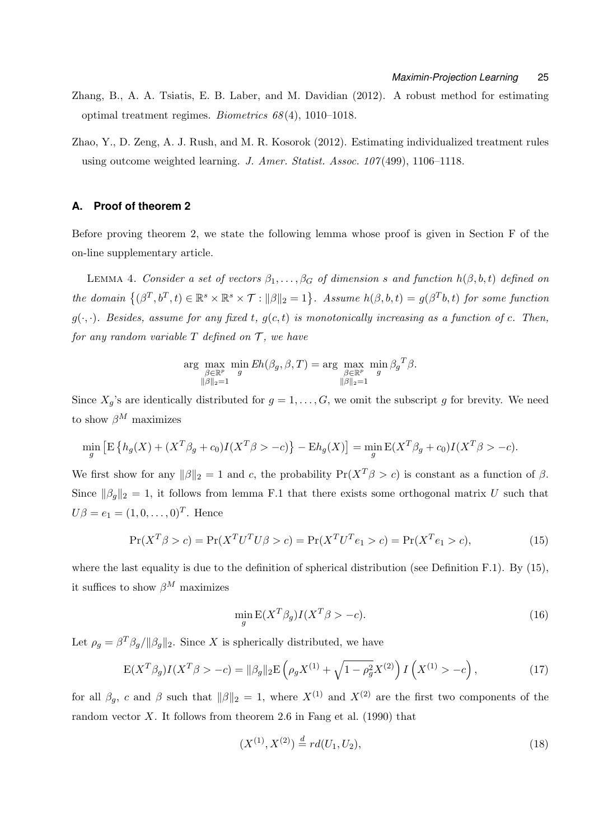- Zhang, B., A. A. Tsiatis, E. B. Laber, and M. Davidian (2012). A robust method for estimating optimal treatment regimes. *Biometrics 68* (4), 1010–1018.
- Zhao, Y., D. Zeng, A. J. Rush, and M. R. Kosorok (2012). Estimating individualized treatment rules using outcome weighted learning. *J. Amer. Statist. Assoc. 107* (499), 1106–1118.

## **A. Proof of theorem 2**

Before proving theorem 2, we state the following lemma whose proof is given in Section F of the on-line supplementary article.

LEMMA 4. *Consider a set of vectors*  $\beta_1, \ldots, \beta_G$  *of dimension s* and function  $h(\beta, b, t)$  defined on the domain  $\{(\beta^T, b^T, t) \in \mathbb{R}^s \times \mathbb{R}^s \times T : ||\beta||_2 = 1\}$ . Assume  $h(\beta, b, t) = g(\beta^T b, t)$  for some function  $g(\cdot, \cdot)$ *. Besides, assume for any fixed t,*  $g(c, t)$  *is monotonically increasing as a function of c. Then, for any random variable*  $T$  *defined on*  $T$ *, we have* 

$$
\arg\max_{\substack{\beta \in \mathbb{R}^p \\ \|\beta\|_2 = 1}} \min_{g} Eh(\beta_g, \beta, T) = \arg\max_{\substack{\beta \in \mathbb{R}^p \\ \|\beta\|_2 = 1}} \min_{g} \beta_g T_{\beta}.
$$

Since  $X_q$ 's are identically distributed for  $g = 1, \ldots, G$ , we omit the subscript *g* for brevity. We need to show  $\beta^M$  maximizes

$$
\min_{g} \left[ \mathbb{E} \left\{ h_g(X) + (X^T \beta_g + c_0) I(X^T \beta > -c) \right\} - \mathbb{E} h_g(X) \right] = \min_{g} \mathbb{E}(X^T \beta_g + c_0) I(X^T \beta > -c).
$$

We first show for any  $||\beta||_2 = 1$  and *c*, the probability  $Pr(X^T \beta > c)$  is constant as a function of  $\beta$ . Since  $||\beta_g||_2 = 1$ , it follows from lemma F.1 that there exists some orthogonal matrix *U* such that  $U\beta = e_1 = (1, 0, \dots, 0)^T$ . Hence

$$
\Pr(X^T \beta > c) = \Pr(X^T U^T U \beta > c) = \Pr(X^T U^T e_1 > c) = \Pr(X^T e_1 > c),\tag{15}
$$

where the last equality is due to the definition of spherical distribution (see Definition F.1). By  $(15)$ , it suffices to show  $\beta^M$  maximizes

$$
\min_{g} \mathcal{E}(X^T \beta_g) I(X^T \beta > -c). \tag{16}
$$

Let  $\rho_g = \beta^T \beta_g / \| \beta_g \|_2$ . Since *X* is spherically distributed, we have

$$
E(X^T \beta_g) I(X^T \beta > -c) = ||\beta_g||_2 E\left(\rho_g X^{(1)} + \sqrt{1 - \rho_g^2} X^{(2)}\right) I\left(X^{(1)} > -c\right),\tag{17}
$$

for all  $\beta_q$ , *c* and  $\beta$  such that  $\|\beta\|_2 = 1$ , where  $X^{(1)}$  and  $X^{(2)}$  are the first two components of the random vector  $X$ . It follows from theorem 2.6 in Fang et al. (1990) that

$$
(X^{(1)}, X^{(2)}) \stackrel{d}{=} r d(U_1, U_2), \tag{18}
$$